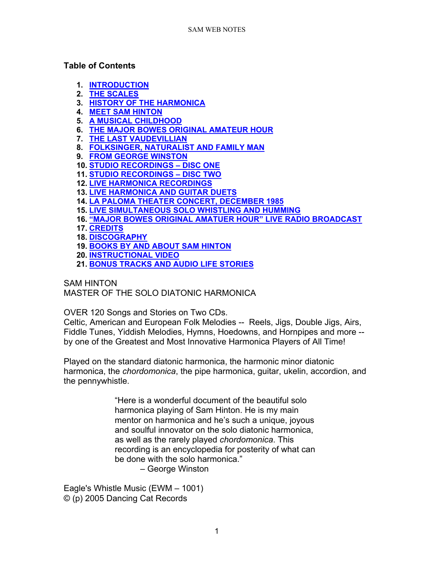### **Table of Contents**

- **1. [INTRODUCTION](#page-1-0)**
- **2. [THE SCALES](#page-1-1)**
- **3. [HISTORY OF THE HARMONICA](#page-2-0)**
- **4. [MEET SAM HINTON](#page-6-0)**
- **5. [A MUSICAL CHILDHOOD](#page-8-0)**
- **6. [THE MAJOR BOWES ORIGINAL AMATEUR HOUR](#page-10-0)**
- **7. [THE LAST VAUDEVILLIAN](#page-12-0)**
- **8. [FOLKSINGER, NATURALIST AND FAMILY MAN](#page-13-0)**
- **9. [FROM GEORGE WINSTON](#page-14-0)**
- **10. [STUDIO RECORDINGS –](#page-15-0) DISC ONE**
- **11. [STUDIO RECORDINGS –](#page-23-0) DISC TWO**
- **12. [LIVE HARMONICA RECORDINGS](#page-24-0)**
- **13. [LIVE HARMONICA AND GUITAR DUETS](#page-27-0)**
- **14. [LA PALOMA THEATER CONCERT, DECEMBER 1985](#page-28-0)**
- **15. [LIVE SIMULTANEOUS SOLO WHISTLING AND HUMMING](#page-29-0)**
- **16. ["MAJOR BOWES ORIGINAL AMATUER HOUR" LIVE RADIO BROADCAST](#page-29-1)**
- **17. [CREDITS](#page-30-0)**
- **18. [DISCOGRAPHY](#page-31-0)**
- **19. [BOOKS BY AND ABOUT SAM HINTON](#page-34-0)**
- **20. [INSTRUCTIONAL VIDEO](#page-34-1)**
- **21. BONUS TRACKS [AND AUDIO LIFE STORIES](#page-34-2)**

SAM HINTON MASTER OF THE SOLO DIATONIC HARMONICA

OVER 120 Songs and Stories on Two CDs.

Celtic, American and European Folk Melodies -- Reels, Jigs, Double Jigs, Airs, Fiddle Tunes, Yiddish Melodies, Hymns, Hoedowns, and Hornpipes and more - by one of the Greatest and Most Innovative Harmonica Players of All Time!

Played on the standard diatonic harmonica, the harmonic minor diatonic harmonica, the *chordomonica*, the pipe harmonica, guitar, ukelin, accordion, and the pennywhistle.

> "Here is a wonderful document of the beautiful solo harmonica playing of Sam Hinton. He is my main mentor on harmonica and he's such a unique, joyous and soulful innovator on the solo diatonic harmonica, as well as the rarely played *chordomonica*. This recording is an encyclopedia for posterity of what can be done with the solo harmonica."

– George Winston

Eagle's Whistle Music (EWM – 1001) © (p) 2005 Dancing Cat Records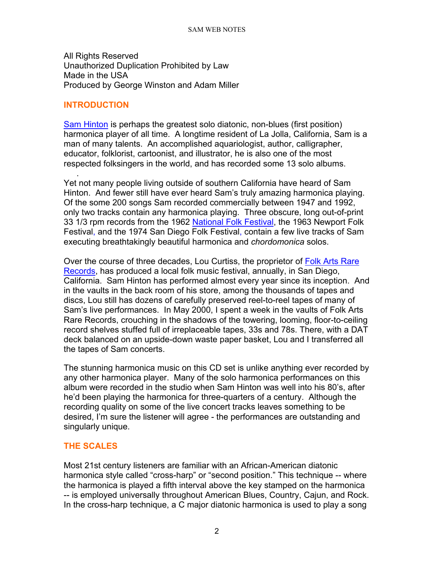All Rights Reserved Unauthorized Duplication Prohibited by Law Made in the USA Produced by George Winston and Adam Miller

#### <span id="page-1-0"></span>**INTRODUCTION**

[Sam Hinton](http://samhinton.org/) is perhaps the greatest solo diatonic, non-blues (first position) harmonica player of all time. A longtime resident of La Jolla, California, Sam is a man of many talents. An accomplished aquariologist, author, calligrapher, educator, folklorist, cartoonist, and illustrator, he is also one of the most respected folksingers in the world, and has recorded some 13 solo albums.

. Yet not many people living outside of southern California have heard of Sam Hinton. And fewer still have ever heard Sam's truly amazing harmonica playing. Of the some 200 songs Sam recorded commercially between 1947 and 1992, only two tracks contain any harmonica playing. Three obscure, long out-of-print 33 1/3 rpm records from the 1962 [National Folk Festival,](https://nationalfolkfestival.com/) the 1963 Newport Folk Festival, and the 1974 San Diego Folk Festival, contain a few live tracks of Sam executing breathtakingly beautiful harmonica and *chordomonica* solos.

Over the course of three decades, Lou Curtiss, the proprietor of [Folk Arts Rare](https://www.folkartsrarerecords.com/)  [Records,](https://www.folkartsrarerecords.com/) has produced a local folk music festival, annually, in San Diego, California. Sam Hinton has performed almost every year since its inception. And in the vaults in the back room of his store, among the thousands of tapes and discs, Lou still has dozens of carefully preserved reel-to-reel tapes of many of Sam's live performances. In May 2000, I spent a week in the vaults of Folk Arts Rare Records, crouching in the shadows of the towering, looming, floor-to-ceiling record shelves stuffed full of irreplaceable tapes, 33s and 78s. There, with a DAT deck balanced on an upside-down waste paper basket, Lou and I transferred all the tapes of Sam concerts.

The stunning harmonica music on this CD set is unlike anything ever recorded by any other harmonica player. Many of the solo harmonica performances on this album were recorded in the studio when Sam Hinton was well into his 80's, after he'd been playing the harmonica for three-quarters of a century. Although the recording quality on some of the live concert tracks leaves something to be desired, I'm sure the listener will agree - the performances are outstanding and singularly unique.

# <span id="page-1-1"></span>**THE SCALES**

Most 21st century listeners are familiar with an African-American diatonic harmonica style called "cross-harp" or "second position." This technique -- where the harmonica is played a fifth interval above the key stamped on the harmonica -- is employed universally throughout American Blues, Country, Cajun, and Rock. In the cross-harp technique, a C major diatonic harmonica is used to play a song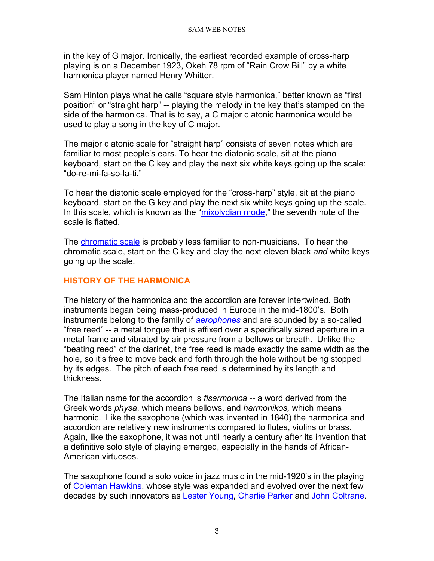in the key of G major. Ironically, the earliest recorded example of cross-harp playing is on a December 1923, Okeh 78 rpm of "Rain Crow Bill" by a white harmonica player named Henry Whitter.

Sam Hinton plays what he calls "square style harmonica," better known as "first position" or "straight harp" -- playing the melody in the key that's stamped on the side of the harmonica. That is to say, a C major diatonic harmonica would be used to play a song in the key of C major.

The major diatonic scale for "straight harp" consists of seven notes which are familiar to most people's ears. To hear the diatonic scale, sit at the piano keyboard, start on the C key and play the next six white keys going up the scale: "do-re-mi-fa-so-la-ti."

To hear the diatonic scale employed for the "cross-harp" style, sit at the piano keyboard, start on the G key and play the next six white keys going up the scale. In this scale, which is known as the ["mixolydian mode,](http://chrisjuergensen.com.hosting.domaindirect.com/modes_4_mixolydian.htm)" the seventh note of the scale is flatted.

The [chromatic scale](http://www.songtrellis.com/soundstor/12tonede.mid) is probably less familiar to non-musicians. To hear the chromatic scale, start on the C key and play the next eleven black *and* white keys going up the scale.

# <span id="page-2-0"></span>**HISTORY OF THE HARMONICA**

The history of the harmonica and the accordion are forever intertwined. Both instruments began being mass-produced in Europe in the mid-1800's. Both instruments belong to the family of *[aerophones](http://www.geidai.ac.jp/%7Eodaka/gcat/english/aerophones.html)* and are sounded by a so-called "free reed" -- a metal tongue that is affixed over a specifically sized aperture in a metal frame and vibrated by air pressure from a bellows or breath. Unlike the "beating reed" of the clarinet, the free reed is made exactly the same width as the hole, so it's free to move back and forth through the hole without being stopped by its edges. The pitch of each free reed is determined by its length and thickness.

The Italian name for the accordion is *fisarmonica* -- a word derived from the Greek words *physa*, which means bellows, and *harmonikos,* which means harmonic. Like the saxophone (which was invented in 1840) the harmonica and accordion are relatively new instruments compared to flutes, violins or brass. Again, like the saxophone, it was not until nearly a century after its invention that a definitive solo style of playing emerged, especially in the hands of African-American virtuosos.

The saxophone found a solo voice in jazz music in the mid-1920's in the playing of [Coleman Hawkins,](http://www.answers.com/topic/coleman-hawkins) whose style was expanded and evolved over the next few decades by such innovators as [Lester Young,](http://www.answers.com/Lester%20Young) [Charlie Parker](http://www.answers.com/topic/charlie-parker) and [John Coltrane.](http://www.answers.com/john%20coltrane)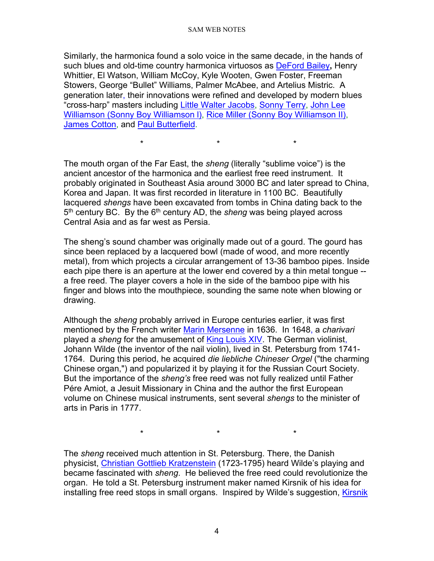Similarly, the harmonica found a solo voice in the same decade, in the hands of such blues and old-time country harmonica virtuosos as [DeFord Bailey](http://www.pbs.org/deford/)**,** Henry Whittier, El Watson, William McCoy, Kyle Wooten, Gwen Foster, Freeman Stowers, George "Bullet" Williams, Palmer McAbee, and Artelius Mistric. A generation later, their innovations were refined and developed by modern blues "cross-harp" masters including [Little Walter Jacobs,](http://www.island.net/%7Eblues/little_w.html) [Sonny Terry,](http://www.alligator.com/artists/bio.cfm?artistid=060) [John Lee](http://www.factmonster.com/ipka/A0780961.html)  [Williamson \(Sonny Boy Williamson l\),](http://www.factmonster.com/ipka/A0780961.html) [Rice Miller \(Sonny Boy Williamson II\),](http://www.sonnyboy.com/) [James Cotton,](http://www.alligator.com/artists/bio.cfm?ArtistID=009) and [Paul Butterfield.](http://www.island.net/%7Eblues/butter.html)

The mouth organ of the Far East, the *sheng* (literally "sublime voice") is the ancient ancestor of the harmonica and the earliest free reed instrument. It probably originated in Southeast Asia around 3000 BC and later spread to China, Korea and Japan. It was first recorded in literature in 1100 BC. Beautifully lacquered *shengs* have been excavated from tombs in China dating back to the 5<sup>th</sup> century BC. By the 6<sup>th</sup> century AD, the *sheng* was being played across Central Asia and as far west as Persia.

\* \* \*

The sheng's sound chamber was originally made out of a gourd. The gourd has since been replaced by a lacquered bowl (made of wood, and more recently metal), from which projects a circular arrangement of 13-36 bamboo pipes. Inside each pipe there is an aperture at the lower end covered by a thin metal tongue - a free reed. The player covers a hole in the side of the bamboo pipe with his finger and blows into the mouthpiece, sounding the same note when blowing or drawing.

Although the *sheng* probably arrived in Europe centuries earlier, it was first mentioned by the French writer [Marin Mersenne](http://www.andrews.edu/%7Ecalkins/math/biograph/biomerse.htm) in 1636. In 1648, a *charivari* played a *sheng* for the amusement of [King Louis XIV.](http://www.royalty.nu/Europe/France/LouisXIV.html) The German violinist, Johann Wilde (the inventor of the nail violin), lived in St. Petersburg from 1741- 1764. During this period, he acquired *die liebliche Chineser Orgel* ("the charming Chinese organ,") and popularized it by playing it for the Russian Court Society. But the importance of the *sheng's* free reed was not fully realized until Father Pére Amiot, a Jesuit Missionary in China and the author the first European volume on Chinese musical instruments, sent several *shengs* to the minister of arts in Paris in 1777.

\* \* \*

The *sheng* received much attention in St. Petersburg. There, the Danish physicist, [Christian Gottlieb Kratzenstein](http://www.ivh.au.dk/kollokvier/susan_splinter_06_05_04.dk.html) (1723-1795) heard Wilde's playing and became fascinated with *sheng*. He believed the free reed could revolutionize the organ. He told a St. Petersburg instrument maker named Kirsnik of his idea for installing free reed stops in small organs. Inspired by Wilde's suggestion, [Kirsnik](http://www.ksanti.net/free-reed/history/birth.html)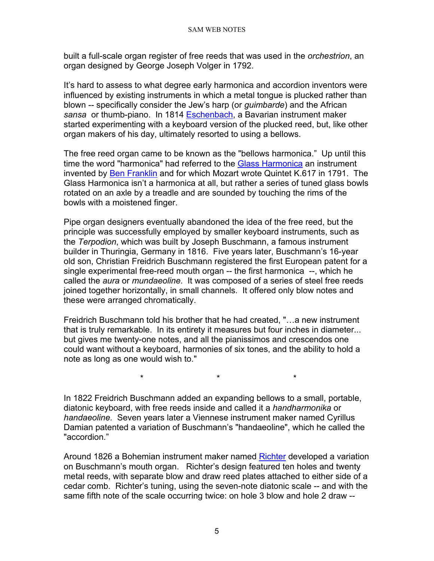built a full-scale organ register of free reeds that was used in the *orchestrion*, an organ designed by George Joseph Volger in 1792.

It's hard to assess to what degree early harmonica and accordion inventors were influenced by existing instruments in which a metal tongue is plucked rather than blown -- specifically consider the Jew's harp (or *guimbarde*) and the African *sansa* or thumb-piano. In 1814 [Eschenbach,](http://www.musicofyesterday.com/DesktopDefault.aspx?tabindex=53&tabid=134&itemid=1875) a Bavarian instrument maker started experimenting with a keyboard version of the plucked reed, but, like other organ makers of his day, ultimately resorted to using a bellows.

The free reed organ came to be known as the "bellows harmonica." Up until this time the word "harmonica" had referred to the [Glass Harmonica](http://www.finkenbeiner.com/gh.html) an instrument invented by [Ben Franklin](http://www.english.udel.edu/lemay/franklin/) and for which Mozart wrote Quintet K.617 in 1791. The Glass Harmonica isn't a harmonica at all, but rather a series of tuned glass bowls rotated on an axle by a treadle and are sounded by touching the rims of the bowls with a moistened finger.

Pipe organ designers eventually abandoned the idea of the free reed, but the principle was successfully employed by smaller keyboard instruments, such as the *Terpodion*, which was built by Joseph Buschmann, a famous instrument builder in Thuringia, Germany in 1816. Five years later, Buschmann's 16-year old son, Christian Freidrich Buschmann registered the first European patent for a single experimental free-reed mouth organ -- the first harmonica --, which he called the *aura* or *mundaeoline*. It was composed of a series of steel free reeds joined together horizontally, in small channels. It offered only blow notes and these were arranged chromatically.

Freidrich Buschmann told his brother that he had created, "…a new instrument that is truly remarkable. In its entirety it measures but four inches in diameter... but gives me twenty-one notes, and all the pianissimos and crescendos one could want without a keyboard, harmonies of six tones, and the ability to hold a note as long as one would wish to."

\* \* \*

In 1822 Freidrich Buschmann added an expanding bellows to a small, portable, diatonic keyboard, with free reeds inside and called it a *handharmonika* or *handaeoline.* Seven years later a Viennese instrument maker named Cyrillus Damian patented a variation of Buschmann's "handaeoline", which he called the "accordion."

Around 1826 a Bohemian instrument maker named [Richter](http://www.patmissin.com/ffaq/q36.html) developed a variation on Buschmann's mouth organ. Richter's design featured ten holes and twenty metal reeds, with separate blow and draw reed plates attached to either side of a cedar comb. Richter's tuning, using the seven-note diatonic scale -- and with the same fifth note of the scale occurring twice: on hole 3 blow and hole 2 draw --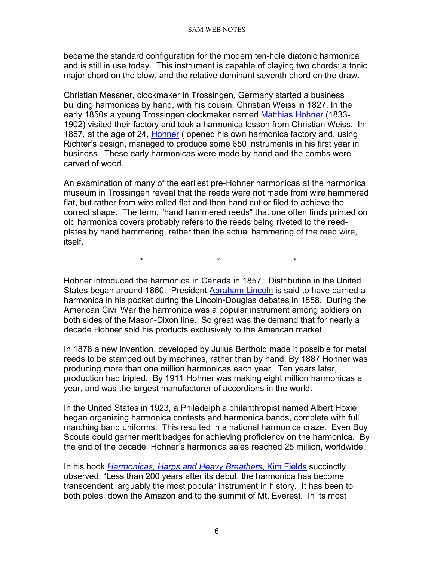became the standard configuration for the modern ten-hole diatonic harmonica and is still in use today. This instrument is capable of playing two chords: a tonic major chord on the blow, and the relative dominant seventh chord on the draw.

Christian Messner, clockmaker in Trossingen, Germany started a business building harmonicas by hand, with his cousin, Christian Weiss in 1827. In the early 1850s a young Trossingen clockmaker named [Matthias Hohner](http://www.hohnerusa.com/ahistory.htm) (1833-1902) visited their factory and took a harmonica lesson from Christian Weiss. In 1857, at the age of 24, [Hohner](http://www.hohnerusa.com/ahistory.htm) ( opened his own harmonica factory and, using Richter's design, managed to produce some 650 instruments in his first year in business. These early harmonicas were made by hand and the combs were carved of wood.

An examination of many of the earliest pre-Hohner harmonicas at the harmonica museum in Trossingen reveal that the reeds were not made from wire hammered flat, but rather from wire rolled flat and then hand cut or filed to achieve the correct shape. The term, "hand hammered reeds" that one often finds printed on old harmonica covers probably refers to the reeds being riveted to the reedplates by hand hammering, rather than the actual hammering of the reed wire, itself.

Hohner introduced the harmonica in Canada in 1857. Distribution in the United States began around 1860. President [Abraham Lincoln](http://www.whitehouse.gov/history/presidents/al16.html) is said to have carried a harmonica in his pocket during the Lincoln-Douglas debates in 1858. During the American Civil War the harmonica was a popular instrument among soldiers on both sides of the Mason-Dixon line. So great was the demand that for nearly a decade Hohner sold his products exclusively to the American market.

\* \* \*

In 1878 a new invention, developed by Julius Berthold made it possible for metal reeds to be stamped out by machines, rather than by hand. By 1887 Hohner was producing more than one million harmonicas each year. Ten years later, production had tripled. By 1911 Hohner was making eight million harmonicas a year, and was the largest manufacturer of accordions in the world.

In the United States in 1923, a Philadelphia philanthropist named Albert Hoxie began organizing harmonica contests and harmonica bands, complete with full marching band uniforms. This resulted in a national harmonica craze. Even Boy Scouts could garner merit badges for achieving proficiency on the harmonica. By the end of the decade, Hohner's harmonica sales reached 25 million, worldwide.

In his book *[Harmonicas, Harps and Heavy Breathers](http://www.howlinwolf.com/articles/kim_field/kim_field.htm)*, Kim Fields succinctly observed, "Less than 200 years after its debut, the harmonica has become transcendent, arguably the most popular instrument in history. It has been to both poles, down the Amazon and to the summit of Mt. Everest. In its most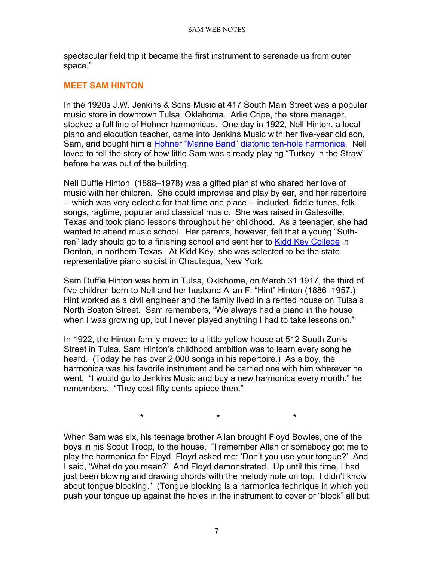spectacular field trip it became the first instrument to serenade us from outer space."

#### <span id="page-6-0"></span>**MEET SAM HINTON**

In the 1920s J.W. Jenkins & Sons Music at 417 South Main Street was a popular music store in downtown Tulsa, Oklahoma. Arlie Cripe, the store manager, stocked a full line of Hohner harmonicas. One day in 1922, Nell Hinton, a local piano and elocution teacher, came into Jenkins Music with her five-year old son, Sam, and bought him a [Hohner "Marine Band" diatonic ten-hole harmonica.](http://www.hohnerusa.com/hdiatonic.htm) Nell loved to tell the story of how little Sam was already playing "Turkey in the Straw" before he was out of the building.

Nell Duffie Hinton (1888–1978) was a gifted pianist who shared her love of music with her children. She could improvise and play by ear, and her repertoire -- which was very eclectic for that time and place -- included, fiddle tunes, folk songs, ragtime, popular and classical music. She was raised in Gatesville, Texas and took piano lessons throughout her childhood. As a teenager, she had wanted to attend music school. Her parents, however, felt that a young "Suthren" lady should go to a finishing school and sent her to [Kidd Key College](http://www.tsha.utexas.edu/handbook/online/articles/view/KK/kbk2.html) in Denton, in northern Texas. At Kidd Key, she was selected to be the state representative piano soloist in Chautaqua, New York.

Sam Duffie Hinton was born in Tulsa, Oklahoma, on March 31 1917, the third of five children born to Nell and her husband Allan F. "Hint" Hinton (1886–1957.) Hint worked as a civil engineer and the family lived in a rented house on Tulsa's North Boston Street. Sam remembers, "We always had a piano in the house when I was growing up, but I never played anything I had to take lessons on."

In 1922, the Hinton family moved to a little yellow house at 512 South Zunis Street in Tulsa. Sam Hinton's childhood ambition was to learn every song he heard. (Today he has over 2,000 songs in his repertoire.) As a boy, the harmonica was his favorite instrument and he carried one with him wherever he went. "I would go to Jenkins Music and buy a new harmonica every month." he remembers. "They cost fifty cents apiece then."

When Sam was six, his teenage brother Allan brought Floyd Bowles, one of the boys in his Scout Troop, to the house. "I remember Allan or somebody got me to play the harmonica for Floyd. Floyd asked me: 'Don't you use your tongue?' And I said, 'What do you mean?' And Floyd demonstrated. Up until this time, I had just been blowing and drawing chords with the melody note on top. I didn't know about tongue blocking." (Tongue blocking is a harmonica technique in which you push your tongue up against the holes in the instrument to cover or "block" all but

\* \* \*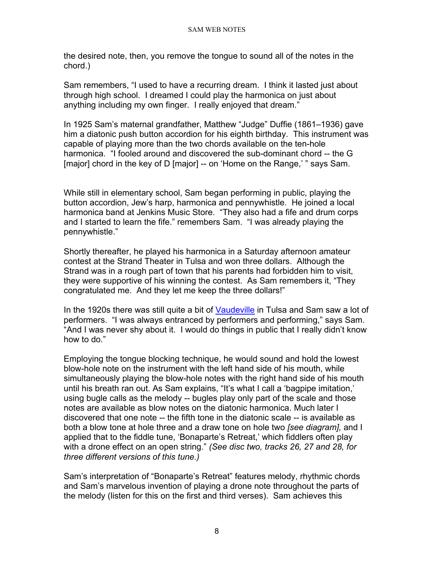the desired note, then, you remove the tongue to sound all of the notes in the chord.)

Sam remembers, "I used to have a recurring dream. I think it lasted just about through high school. I dreamed I could play the harmonica on just about anything including my own finger. I really enjoyed that dream."

In 1925 Sam's maternal grandfather, Matthew "Judge" Duffie (1861–1936) gave him a diatonic push button accordion for his eighth birthday. This instrument was capable of playing more than the two chords available on the ten-hole harmonica. "I fooled around and discovered the sub-dominant chord -- the G [major] chord in the key of D [major] -- on 'Home on the Range,' " says Sam.

While still in elementary school, Sam began performing in public, playing the button accordion, Jew's harp, harmonica and pennywhistle. He joined a local harmonica band at Jenkins Music Store. "They also had a fife and drum corps and I started to learn the fife." remembers Sam. "I was already playing the pennywhistle."

Shortly thereafter, he played his harmonica in a Saturday afternoon amateur contest at the Strand Theater in Tulsa and won three dollars. Although the Strand was in a rough part of town that his parents had forbidden him to visit, they were supportive of his winning the contest. As Sam remembers it, "They congratulated me. And they let me keep the three dollars!"

In the 1920s there was still quite a bit of [Vaudeville](http://english.cla.umn.edu/GraduateProfiles/KSurkan/4403/ville.html) in Tulsa and Sam saw a lot of performers. "I was always entranced by performers and performing," says Sam. "And I was never shy about it. I would do things in public that I really didn't know how to do."

Employing the tongue blocking technique, he would sound and hold the lowest blow-hole note on the instrument with the left hand side of his mouth, while simultaneously playing the blow-hole notes with the right hand side of his mouth until his breath ran out. As Sam explains, "It's what I call a 'bagpipe imitation,' using bugle calls as the melody -- bugles play only part of the scale and those notes are available as blow notes on the diatonic harmonica. Much later I discovered that one note -- the fifth tone in the diatonic scale -- is available as both a blow tone at hole three and a draw tone on hole two *[see diagram],* and I applied that to the fiddle tune, 'Bonaparte's Retreat,' which fiddlers often play with a drone effect on an open string." *(See disc two, tracks 26, 27 and 28, for three different versions of this tune.)*

Sam's interpretation of "Bonaparte's Retreat" features melody, rhythmic chords and Sam's marvelous invention of playing a drone note throughout the parts of the melody (listen for this on the first and third verses). Sam achieves this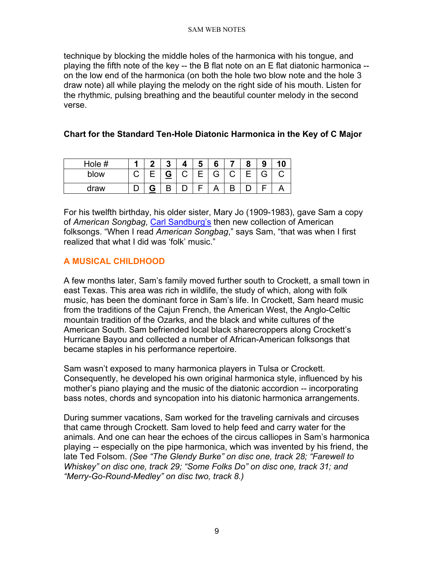technique by blocking the middle holes of the harmonica with his tongue, and playing the fifth note of the key -- the B flat note on an E flat diatonic harmonica - on the low end of the harmonica (on both the hole two blow note and the hole 3 draw note) all while playing the melody on the right side of his mouth. Listen for the rhythmic, pulsing breathing and the beautiful counter melody in the second verse.

# **Chart for the Standard Ten-Hole Diatonic Harmonica in the Key of C Major**

| Hole # | л | ≏ | $\boldsymbol{\Lambda}$ | Ð | 6 | О | 9       |  |
|--------|---|---|------------------------|---|---|---|---------|--|
| blow   | ب | G | ⌒<br>ٮ                 |   | G |   | ⌒<br>п. |  |
| draw   |   | D |                        |   |   |   |         |  |

For his twelfth birthday, his older sister, Mary Jo (1909-1983), gave Sam a copy of *American Songbag*, [Carl Sandburg's](http://www.kirjasto.sci.fi/sandburg.htm) then new collection of American folksongs. "When I read *American Songbag*," says Sam, "that was when I first realized that what I did was 'folk' music."

# <span id="page-8-0"></span>**A MUSICAL CHILDHOOD**

A few months later, Sam's family moved further south to Crockett, a small town in east Texas. This area was rich in wildlife, the study of which, along with folk music, has been the dominant force in Sam's life. In Crockett, Sam heard music from the traditions of the Cajun French, the American West, the Anglo-Celtic mountain tradition of the Ozarks, and the black and white cultures of the American South. Sam befriended local black sharecroppers along Crockett's Hurricane Bayou and collected a number of African-American folksongs that became staples in his performance repertoire.

Sam wasn't exposed to many harmonica players in Tulsa or Crockett. Consequently, he developed his own original harmonica style, influenced by his mother's piano playing and the music of the diatonic accordion -- incorporating bass notes, chords and syncopation into his diatonic harmonica arrangements.

During summer vacations, Sam worked for the traveling carnivals and circuses that came through Crockett. Sam loved to help feed and carry water for the animals. And one can hear the echoes of the circus calliopes in Sam's harmonica playing -- especially on the pipe harmonica, which was invented by his friend, the late Ted Folsom. *(See "The Glendy Burke" on disc one, track 28; "Farewell to Whiskey" on disc one, track 29; "Some Folks Do" on disc one, track 31; and "Merry-Go-Round-Medley" on disc two, track 8.)*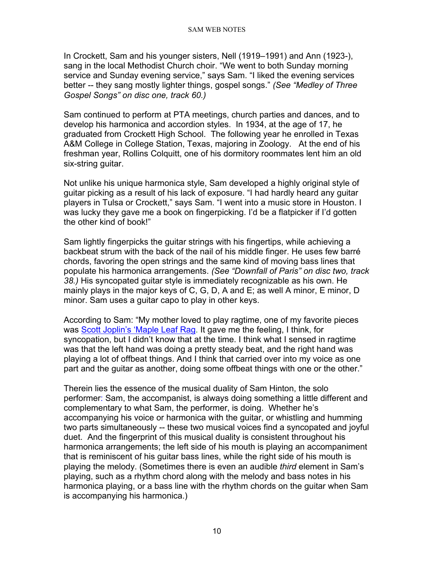In Crockett, Sam and his younger sisters, Nell (1919–1991) and Ann (1923-), sang in the local Methodist Church choir. "We went to both Sunday morning service and Sunday evening service," says Sam. "I liked the evening services better -- they sang mostly lighter things, gospel songs." *(See "Medley of Three Gospel Songs" on disc one, track 60.)*

Sam continued to perform at PTA meetings, church parties and dances, and to develop his harmonica and accordion styles. In 1934, at the age of 17, he graduated from Crockett High School. The following year he enrolled in Texas A&M College in College Station, Texas, majoring in Zoology. At the end of his freshman year, Rollins Colquitt, one of his dormitory roommates lent him an old six-string guitar.

Not unlike his unique harmonica style, Sam developed a highly original style of guitar picking as a result of his lack of exposure. "I had hardly heard any guitar players in Tulsa or Crockett," says Sam. "I went into a music store in Houston. I was lucky they gave me a book on fingerpicking. I'd be a flatpicker if I'd gotten the other kind of book!"

Sam lightly fingerpicks the guitar strings with his fingertips, while achieving a backbeat strum with the back of the nail of his middle finger. He uses few barré chords, favoring the open strings and the same kind of moving bass lines that populate his harmonica arrangements. *(See "Downfall of Paris" on disc two, track 38.)* His syncopated guitar style is immediately recognizable as his own. He mainly plays in the major keys of C, G, D, A and E; as well A minor, E minor, D minor. Sam uses a guitar capo to play in other keys.

According to Sam: "My mother loved to play ragtime, one of my favorite pieces was [Scott Joplin's 'Maple Leaf Rag.](http://music.minnesota.publicradio.org/features/9905_ragtime/index.shtml) It gave me the feeling, I think, for syncopation, but I didn't know that at the time. I think what I sensed in ragtime was that the left hand was doing a pretty steady beat, and the right hand was playing a lot of offbeat things. And I think that carried over into my voice as one part and the guitar as another, doing some offbeat things with one or the other."

Therein lies the essence of the musical duality of Sam Hinton, the solo performer: Sam, the accompanist, is always doing something a little different and complementary to what Sam, the performer, is doing. Whether he's accompanying his voice or harmonica with the guitar, or whistling and humming two parts simultaneously -- these two musical voices find a syncopated and joyful duet. And the fingerprint of this musical duality is consistent throughout his harmonica arrangements; the left side of his mouth is playing an accompaniment that is reminiscent of his guitar bass lines, while the right side of his mouth is playing the melody. (Sometimes there is even an audible *third* element in Sam's playing, such as a rhythm chord along with the melody and bass notes in his harmonica playing, or a bass line with the rhythm chords on the guitar when Sam is accompanying his harmonica.)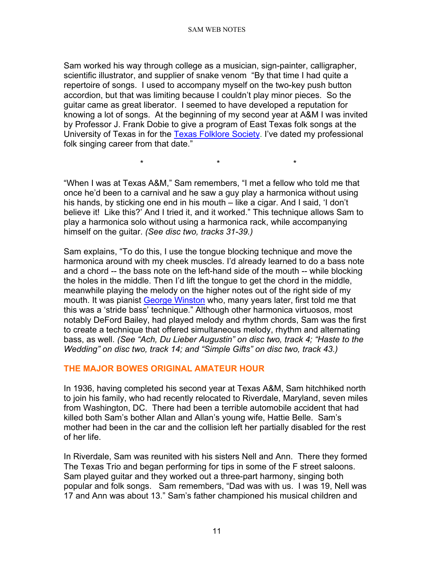Sam worked his way through college as a musician, sign-painter, calligrapher, scientific illustrator, and supplier of snake venom "By that time I had quite a repertoire of songs. I used to accompany myself on the two-key push button accordion, but that was limiting because I couldn't play minor pieces. So the guitar came as great liberator. I seemed to have developed a reputation for knowing a lot of songs. At the beginning of my second year at A&M I was invited by Professor J. Frank Dobie to give a program of East Texas folk songs at the University of Texas in for the [Texas Folklore Society.](http://www.texasfolkloresociety.org/) I've dated my professional folk singing career from that date."

"When I was at Texas A&M," Sam remembers, "I met a fellow who told me that once he'd been to a carnival and he saw a guy play a harmonica without using his hands, by sticking one end in his mouth – like a cigar. And I said, 'I don't believe it! Like this?' And I tried it, and it worked." This technique allows Sam to play a harmonica solo without using a harmonica rack, while accompanying himself on the guitar. *(See disc two, tracks 31-39.)*

\* \* \*

Sam explains, "To do this, I use the tongue blocking technique and move the harmonica around with my cheek muscles. I'd already learned to do a bass note and a chord -- the bass note on the left-hand side of the mouth -- while blocking the holes in the middle. Then I'd lift the tongue to get the chord in the middle, meanwhile playing the melody on the higher notes out of the right side of my mouth. It was pianist [George Winston](http://www.georgewinston.com/) who, many years later, first told me that this was a 'stride bass' technique*.*" Although other harmonica virtuosos, most notably DeFord Bailey, had played melody and rhythm chords, Sam was the first to create a technique that offered simultaneous melody, rhythm and alternating bass, as well. *(See "Ach, Du Lieber Augustin" on disc two, track 4; "Haste to the Wedding" on disc two, track 14; and "Simple Gifts" on disc two, track 43.)*

# <span id="page-10-0"></span>**THE MAJOR BOWES ORIGINAL AMATEUR HOUR**

In 1936, having completed his second year at Texas A&M, Sam hitchhiked north to join his family, who had recently relocated to Riverdale, Maryland, seven miles from Washington, DC. There had been a terrible automobile accident that had killed both Sam's bother Allan and Allan's young wife, Hattie Belle. Sam's mother had been in the car and the collision left her partially disabled for the rest of her life.

In Riverdale, Sam was reunited with his sisters Nell and Ann. There they formed The Texas Trio and began performing for tips in some of the F street saloons. Sam played guitar and they worked out a three-part harmony, singing both popular and folk songs. Sam remembers, "Dad was with us. I was 19, Nell was 17 and Ann was about 13." Sam's father championed his musical children and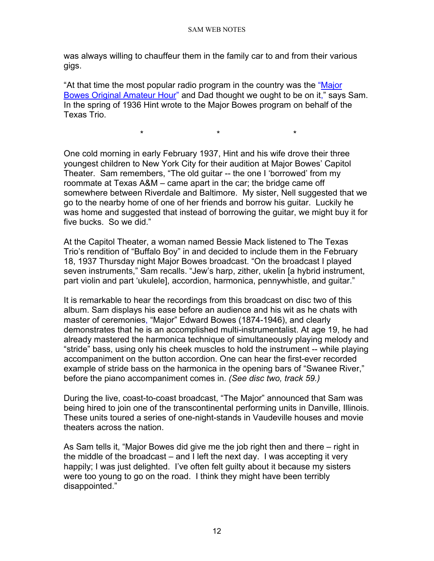was always willing to chauffeur them in the family car to and from their various gigs.

"At that time the most popular radio program in the country was the ["Major](http://www.old-time.com/commercials/the_original_amateur_hour.html)  [Bowes Original Amateur Hour"](http://www.old-time.com/commercials/the_original_amateur_hour.html) and Dad thought we ought to be on it," says Sam. In the spring of 1936 Hint wrote to the Major Bowes program on behalf of the Texas Trio.

\* \* \*

One cold morning in early February 1937, Hint and his wife drove their three youngest children to New York City for their audition at Major Bowes' Capitol Theater. Sam remembers, "The old guitar -- the one I 'borrowed' from my roommate at Texas A&M – came apart in the car; the bridge came off somewhere between Riverdale and Baltimore. My sister, Nell suggested that we go to the nearby home of one of her friends and borrow his guitar. Luckily he was home and suggested that instead of borrowing the guitar, we might buy it for five bucks. So we did."

At the Capitol Theater, a woman named Bessie Mack listened to The Texas Trio's rendition of "Buffalo Boy" in and decided to include them in the February 18, 1937 Thursday night Major Bowes broadcast. "On the broadcast I played seven instruments," Sam recalls. "Jew's harp, zither, ukelin [a hybrid instrument, part violin and part 'ukulele], accordion, harmonica, pennywhistle, and guitar."

It is remarkable to hear the recordings from this broadcast on disc two of this album. Sam displays his ease before an audience and his wit as he chats with master of ceremonies, "Major" Edward Bowes (1874-1946), and clearly demonstrates that he is an accomplished multi-instrumentalist. At age 19, he had already mastered the harmonica technique of simultaneously playing melody and "stride" bass, using only his cheek muscles to hold the instrument -- while playing accompaniment on the button accordion. One can hear the first-ever recorded example of stride bass on the harmonica in the opening bars of "Swanee River," before the piano accompaniment comes in. *(See disc two, track 59.)*

During the live, coast-to-coast broadcast, "The Major" announced that Sam was being hired to join one of the transcontinental performing units in Danville, Illinois. These units toured a series of one-night-stands in Vaudeville houses and movie theaters across the nation.

As Sam tells it, "Major Bowes did give me the job right then and there – right in the middle of the broadcast – and I left the next day. I was accepting it very happily; I was just delighted. I've often felt guilty about it because my sisters were too young to go on the road. I think they might have been terribly disappointed."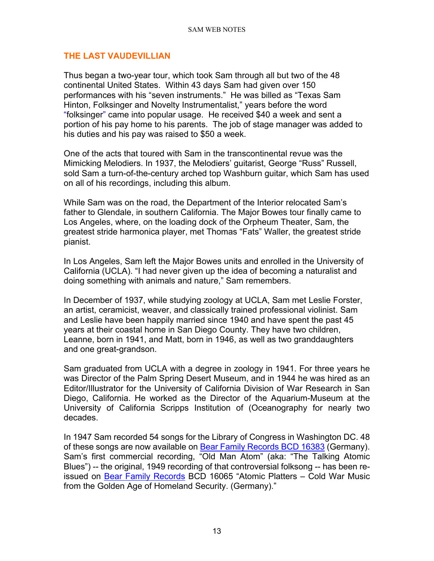# <span id="page-12-0"></span>**THE LAST VAUDEVILLIAN**

Thus began a two-year tour, which took Sam through all but two of the 48 continental United States. Within 43 days Sam had given over 150 performances with his "seven instruments." He was billed as "Texas Sam Hinton, Folksinger and Novelty Instrumentalist," years before the word "folksinger" came into popular usage. He received \$40 a week and sent a portion of his pay home to his parents. The job of stage manager was added to his duties and his pay was raised to \$50 a week.

One of the acts that toured with Sam in the transcontinental revue was the Mimicking Melodiers. In 1937, the Melodiers' guitarist, George "Russ" Russell, sold Sam a turn-of-the-century arched top Washburn guitar, which Sam has used on all of his recordings, including this album.

While Sam was on the road, the Department of the Interior relocated Sam's father to Glendale, in southern California. The Major Bowes tour finally came to Los Angeles, where, on the loading dock of the Orpheum Theater, Sam, the greatest stride harmonica player, met Thomas "Fats" Waller, the greatest stride pianist.

In Los Angeles, Sam left the Major Bowes units and enrolled in the University of California (UCLA). "I had never given up the idea of becoming a naturalist and doing something with animals and nature," Sam remembers.

In December of 1937, while studying zoology at UCLA, Sam met Leslie Forster, an artist, ceramicist, weaver, and classically trained professional violinist. Sam and Leslie have been happily married since 1940 and have spent the past 45 years at their coastal home in San Diego County. They have two children, Leanne, born in 1941, and Matt, born in 1946, as well as two granddaughters and one great-grandson.

Sam graduated from UCLA with a degree in zoology in 1941. For three years he was Director of the Palm Spring Desert Museum, and in 1944 he was hired as an Editor/Illustrator for the University of California Division of War Research in San Diego, California. He worked as the Director of the Aquarium-Museum at the University of California Scripps Institution of (Oceanography for nearly two decades.

In 1947 Sam recorded 54 songs for the Library of Congress in Washington DC. 48 of these songs are now available on [Bear Family Records BCD 16383](http://www.samhinton.org/ordering.html) (Germany). Sam's first commercial recording, "Old Man Atom" (aka: "The Talking Atomic Blues") -- the original, 1949 recording of that controversial folksong -- has been reissued on [Bear Family Records](http://www.bear-family.de/) BCD 16065 "Atomic Platters – Cold War Music from the Golden Age of Homeland Security. (Germany)."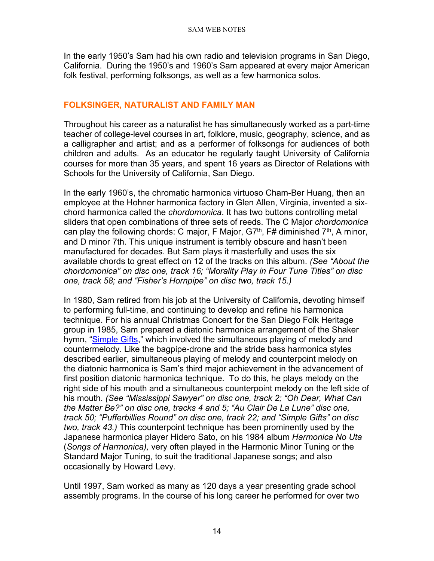In the early 1950's Sam had his own radio and television programs in San Diego, California. During the 1950's and 1960's Sam appeared at every major American folk festival, performing folksongs, as well as a few harmonica solos.

# <span id="page-13-0"></span>**FOLKSINGER, NATURALIST AND FAMILY MAN**

Throughout his career as a naturalist he has simultaneously worked as a part-time teacher of college-level courses in art, folklore, music, geography, science, and as a calligrapher and artist; and as a performer of folksongs for audiences of both children and adults. As an educator he regularly taught University of California courses for more than 35 years, and spent 16 years as Director of Relations with Schools for the University of California, San Diego.

In the early 1960's, the chromatic harmonica virtuoso Cham-Ber Huang, then an employee at the Hohner harmonica factory in Glen Allen, Virginia, invented a sixchord harmonica called the *chordomonica*. It has two buttons controlling metal sliders that open combinations of three sets of reeds. The C Major *chordomonica* can play the following chords: C major, F Major, G7<sup>th</sup>, F# diminished 7<sup>th</sup>, A minor, and D minor 7th. This unique instrument is terribly obscure and hasn't been manufactured for decades. But Sam plays it masterfully and uses the six available chords to great effect on 12 of the tracks on this album. *(See "About the chordomonica" on disc one, track 16; "Morality Play in Four Tune Titles" on disc one, track 58; and "Fisher's Hornpipe" on disc two, track 15.)*

In 1980, Sam retired from his job at the University of California, devoting himself to performing full-time, and continuing to develop and refine his harmonica technique. For his annual Christmas Concert for the San Diego Folk Heritage group in 1985, Sam prepared a diatonic harmonica arrangement of the Shaker hymn, ["Simple Gifts,](http://www.freep.com/fun/music/qshaker11.htm)" which involved the simultaneous playing of melody and countermelody. Like the bagpipe-drone and the stride bass harmonica styles described earlier, simultaneous playing of melody and counterpoint melody on the diatonic harmonica is Sam's third major achievement in the advancement of first position diatonic harmonica technique. To do this, he plays melody on the right side of his mouth and a simultaneous counterpoint melody on the left side of his mouth. *(See "Mississippi Sawyer" on disc one, track 2; "Oh Dear, What Can the Matter Be?" on disc one, tracks 4 and 5; "Au Clair De La Lune" disc one, track 50; "Pufferbillies Round" on disc one, track 22; and "Simple Gifts" on disc two, track 43.)* This counterpoint technique has been prominently used by the Japanese harmonica player Hidero Sato, on his 1984 album *Harmonica No Uta* (*Songs of Harmonica),* very often played in the Harmonic Minor Tuning or the Standard Major Tuning, to suit the traditional Japanese songs; and also occasionally by Howard Levy.

Until 1997, Sam worked as many as 120 days a year presenting grade school assembly programs. In the course of his long career he performed for over two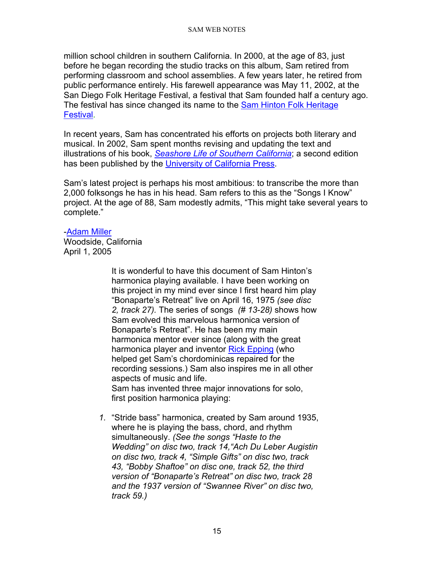million school children in southern California. In 2000, at the age of 83, just before he began recording the studio tracks on this album, Sam retired from performing classroom and school assemblies. A few years later, he retired from public performance entirely. His farewell appearance was May 11, 2002, at the San Diego Folk Heritage Festival, a festival that Sam founded half a century ago. The festival has since changed its name to the [Sam Hinton Folk Heritage](http://www.sdfolkheritage.org/schedule.html)  [Festival.](http://www.sdfolkheritage.org/schedule.html)

In recent years, Sam has concentrated his efforts on projects both literary and musical. In 2002, Sam spent months revising and updating the text and illustrations of his book, *[Seashore Life of Southern California](https://www.ucpress.edu/book/9780520059245/seashore-life-of-southern-california-new-and-revised-edition)*; a second edition has been published by the [University of California Press.](http://www.ucpress.edu/)

Sam's latest project is perhaps his most ambitious: to transcribe the more than 2,000 folksongs he has in his head. Sam refers to this as the "Songs I Know" project. At the age of 88, Sam modestly admits, "This might take several years to complete."

#### [-Adam Miller](http://www.folksinging.org/)

<span id="page-14-0"></span>Woodside, California April 1, 2005

> It is wonderful to have this document of Sam Hinton's harmonica playing available. I have been working on this project in my mind ever since I first heard him play "Bonaparte's Retreat" live on April 16, 1975 *(see disc 2, track 27).* The series of songs *(# 13-28)* shows how Sam evolved this marvelous harmonica version of Bonaparte's Retreat". He has been my main harmonica mentor ever since (along with the great harmonica player and inventor [Rick Epping](http://www.harmonicamasterclass.com/rick_epping.htm) (who helped get Sam's chordominicas repaired for the recording sessions.) Sam also inspires me in all other aspects of music and life. Sam has invented three major innovations for solo, first position harmonica playing:

*1.* "Stride bass" harmonica, created by Sam around 1935, where he is playing the bass, chord, and rhythm simultaneously. *(See the songs "Haste to the Wedding" on disc two, track 14,"Ach Du Leber Augistin on disc two, track 4, "Simple Gifts" on disc two, track 43, "Bobby Shaftoe" on disc one, track 52, the third version of "Bonaparte's Retreat" on disc two, track 28 and the 1937 version of "Swannee River" on disc two, track 59.)*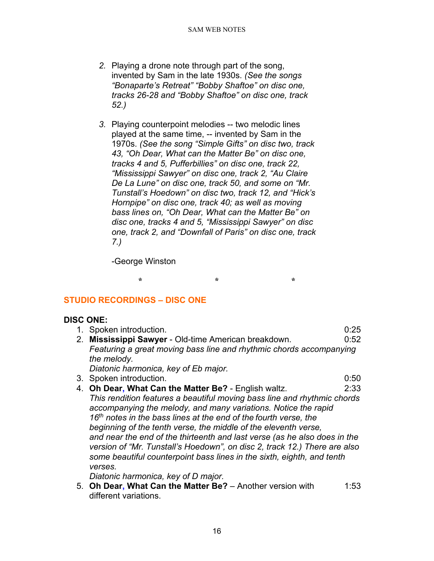- *2.* Playing a drone note through part of the song, invented by Sam in the late 1930s. *(See the songs "Bonaparte's Retreat" "Bobby Shaftoe" on disc one, tracks 26-28 and "Bobby Shaftoe" on disc one, track 52.)*
- *3.* Playing counterpoint melodies -- two melodic lines played at the same time, -- invented by Sam in the 1970s. *(See the song "Simple Gifts" on disc two, track 43, "Oh Dear, What can the Matter Be" on disc one, tracks 4 and 5, Pufferbillies" on disc one, track 22, "Mississippi Sawyer" on disc one, track 2, "Au Claire De La Lune" on disc one, track 50, and some on "Mr. Tunstall's Hoedown" on disc two, track 12, and "Hick's Hornpipe" on disc one, track 40; as well as moving bass lines on, "Oh Dear, What can the Matter Be" on disc one, tracks 4 and 5, "Mississippi Sawyer" on disc one, track 2, and "Downfall of Paris" on disc one, track 7.)*

-George Winston

<span id="page-15-0"></span>**STUDIO RECORDINGS – DISC ONE**

# **DISC ONE:**

| 1. Spoken introduction.                                                      | 0:25 |
|------------------------------------------------------------------------------|------|
| 2. Mississippi Sawyer - Old-time American breakdown.                         | 0:52 |
| Featuring a great moving bass line and rhythmic chords accompanying          |      |
| the melody.                                                                  |      |
| Diatonic harmonica, key of Eb major.                                         |      |
| 3. Spoken introduction.                                                      | 0:50 |
| 4. Oh Dear, What Can the Matter Be? - English waltz.                         | 2:33 |
| This rendition features a beautiful moving bass line and rhythmic chords     |      |
| accompanying the melody, and many variations. Notice the rapid               |      |
| 16 <sup>th</sup> notes in the bass lines at the end of the fourth verse, the |      |
| beginning of the tenth verse, the middle of the eleventh verse,              |      |
| and near the end of the thirteenth and last verse (as he also does in the    |      |
| version of "Mr. Tunstall's Hoedown", on disc 2, track 12.) There are also    |      |
| some beautiful counterpoint bass lines in the sixth, eighth, and tenth       |      |

**\* \* \***

*verses.* 

*Diatonic harmonica, key of D major.*

5. **Oh Dear, What Can the Matter Be?** – Another version with 1:53 different variations.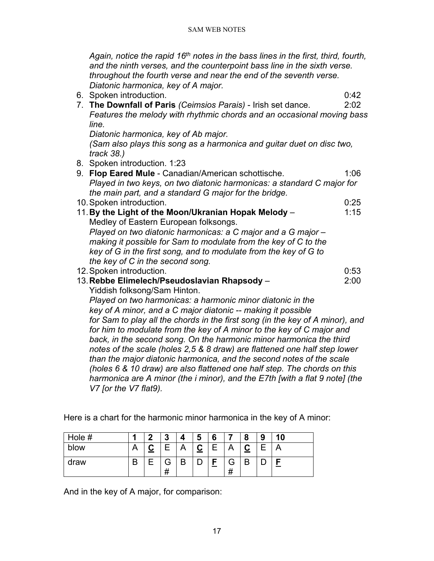*Again, notice the rapid 16th notes in the bass lines in the first, third, fourth, and the ninth verses, and the counterpoint bass line in the sixth verse. throughout the fourth verse and near the end of the seventh verse. Diatonic harmonica, key of A major.*

6. Spoken introduction. 0:42

7. **The Downfall of Paris** *(Ceimsios Parais)* - Irish set dance. 2:02 *Features the melody with rhythmic chords and an occasional moving bass line.* 

*Diatonic harmonica, key of Ab major.* 

*(Sam also plays this song as a harmonica and guitar duet on disc two, track 38.)*

8. Spoken introduction. 1:23

| 9. Flop Eared Mule - Canadian/American schottische.                           | 1:06 |
|-------------------------------------------------------------------------------|------|
| Played in two keys, on two diatonic harmonicas: a standard C major for        |      |
| the main part, and a standard G major for the bridge.                         |      |
| 10. Spoken introduction.                                                      | 0:25 |
| 11. By the Light of the Moon/Ukranian Hopak Melody -                          | 1:15 |
| Medley of Eastern European folksongs.                                         |      |
| Played on two diatonic harmonicas: a C major and a G major -                  |      |
| making it possible for Sam to modulate from the key of C to the               |      |
| key of G in the first song, and to modulate from the key of G to              |      |
| the key of C in the second song.                                              |      |
| 12. Spoken introduction.                                                      | 0:53 |
| 13. Rebbe Elimelech/Pseudoslavian Rhapsody -                                  | 2:00 |
| Yiddish folksong/Sam Hinton.                                                  |      |
| Played on two harmonicas: a harmonic minor diatonic in the                    |      |
| key of A minor, and a C major diatonic -- making it possible                  |      |
| for Sam to play all the chords in the first song (in the key of A minor), and |      |
| for him to modulate from the key of A minor to the key of C major and         |      |
| back, in the second song. On the harmonic minor harmonica the third           |      |
| notes of the scale (holes 2,5 & 8 draw) are flattened one half step lower     |      |
| than the major diatonic harmonica, and the second notes of the scale          |      |
| (holes 6 & 10 draw) are also flattened one half step. The chords on this      |      |
| harmonica are A minor (the i minor), and the E7th [with a flat 9 note] (the   |      |
| V7 [or the V7 flat9).                                                         |      |

Here is a chart for the harmonic minor harmonica in the key of A minor:

| Hole # |    | n | o<br>u |   | 5             | 6 |               | o<br>о | 9 | 10 |
|--------|----|---|--------|---|---------------|---|---------------|--------|---|----|
| blow   |    |   |        |   | ⌒<br><u>ي</u> |   |               |        |   | ⌒  |
| draw   | רז |   | ਜ<br># | В |               | - | Э<br>,,<br>77 | В      |   |    |

And in the key of A major, for comparison: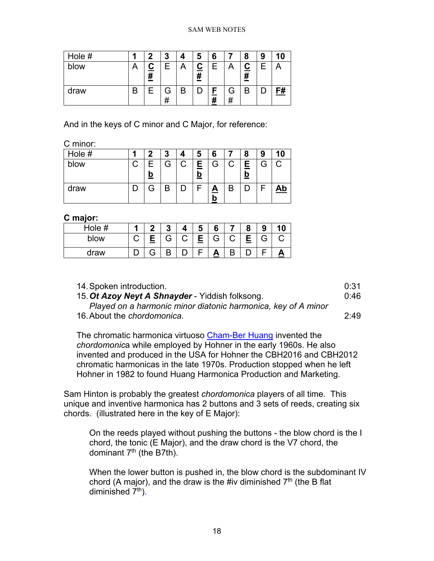| Hole # | 7 | 3      |   | 5             | 6      |        | 8            | 9 | 10 |
|--------|---|--------|---|---------------|--------|--------|--------------|---|----|
| blow   | # | Ε      |   | ∸<br><u>#</u> | F      |        | $rac{C}{\#}$ |   |    |
| draw   |   | G<br># | В |               | E<br># | G<br># | B            |   | F# |

And in the keys of C minor and C Major, for reference:

C minor:

| Hole # | າ        | 3 | 5             | 6        |    | 8             |   | 10        |
|--------|----------|---|---------------|----------|----|---------------|---|-----------|
| blow   | <u>b</u> | G | Ε<br><u>b</u> | G        |    | E<br><u>0</u> | Э |           |
| draw   |          | B |               | <u>A</u> | רו |               |   | <u>Ab</u> |

#### **C major:**

| Hole # |   | ≏ |   | O      | 6 |   | o<br>J |  |
|--------|---|---|---|--------|---|---|--------|--|
| blow   |   | G | ⌒ | F<br>۰ | G | ⌒ | G      |  |
| draw   | ੨ | D |   |        |   |   |        |  |

| 14. Spoken introduction.                                      | 0:31 |
|---------------------------------------------------------------|------|
| 15. Ot Azoy Neyt A Shnayder - Yiddish folksong.               | 0:46 |
| Played on a harmonic minor diatonic harmonica, key of A minor |      |

16.About the *chordomonica.* 2:49

The chromatic harmonica virtuoso [Cham-Ber Huang](http://www.bassharp.com/cbh.htm) invented the *chordomonic*a while employed by Hohner in the early 1960s. He also invented and produced in the USA for Hohner the CBH2016 and CBH2012 chromatic harmonicas in the late 1970s. Production stopped when he left Hohner in 1982 to found Huang Harmonica Production and Marketing.

Sam Hinton is probably the greatest *chordomonica* players of all time. This unique and inventive harmonica has 2 buttons and 3 sets of reeds, creating six chords. (illustrated here in the key of E Major):

On the reeds played without pushing the buttons - the blow chord is the I chord, the tonic (E Major), and the draw chord is the V7 chord, the dominant  $7<sup>th</sup>$  (the B7th).

When the lower button is pushed in, the blow chord is the subdominant IV chord (A major), and the draw is the #iv diminished  $7<sup>th</sup>$  (the B flat diminished  $7<sup>th</sup>$ ).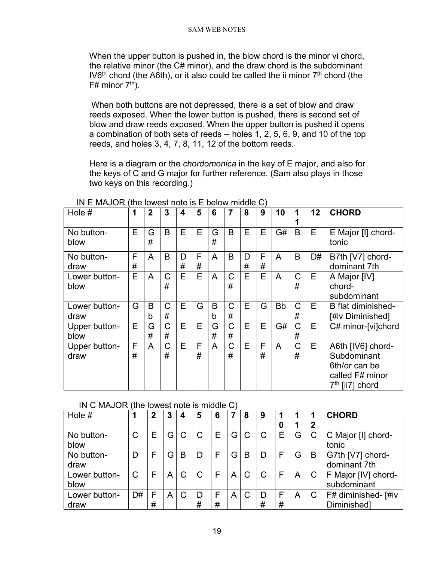When the upper button is pushed in, the blow chord is the minor vi chord, the relative minor (the C# minor), and the draw chord is the subdominant IV6<sup>th</sup> chord (the A6th), or it also could be called the ii minor  $7<sup>th</sup>$  chord (the  $F#$  minor  $7<sup>th</sup>$ ).

When both buttons are not depressed, there is a set of blow and draw reeds exposed. When the lower button is pushed, there is second set of blow and draw reeds exposed. When the upper button is pushed it opens a combination of both sets of reeds -- holes 1, 2, 5, 6, 9, and 10 of the top reeds, and holes 3, 4, 7, 8, 11, 12 of the bottom reeds.

Here is a diagram or the *chordomonica* in the key of E major, and also for the keys of C and G major for further reference. (Sam also plays in those two keys on this recording.)

| Hole #                | 1      | $\mathbf 2$ | 3      | 4      | 5      | 6      | 7                | 8      | 9      | 10        |                  | 12 | <b>CHORD</b>                                                                                        |
|-----------------------|--------|-------------|--------|--------|--------|--------|------------------|--------|--------|-----------|------------------|----|-----------------------------------------------------------------------------------------------------|
| No button-<br>blow    | E      | G<br>#      | B      | E      | E      | G<br># | B                | E      | Е      | G#        | B                | Е  | E Major [I] chord-<br>tonic                                                                         |
| No button-<br>draw    | F<br># | A           | B      | D<br># | F<br># | A      | B                | D<br># | F<br># | A         | B                | D# | B7th [V7] chord-<br>dominant 7th                                                                    |
| Lower button-<br>blow | E      | A           | C<br># | E      | E      | A      | C<br>#           | E      | E      | A         | C<br>#           | E  | A Major [IV]<br>chord-<br>subdominant                                                               |
| Lower button-<br>draw | G      | B<br>b      | C<br># | E      | G      | B<br>b | $\mathsf C$<br># | E      | G      | <b>Bb</b> | C<br>#           | E  | <b>B</b> flat diminished-<br>[#iv Diminished]                                                       |
| Upper button-<br>blow | Е      | G<br>#      | C<br># | E      | Е      | G<br># | C<br>#           | E      | E      | G#        | $\mathsf C$<br># | E  | C# minor-[vi]chord                                                                                  |
| Upper button-<br>draw | F<br># | A           | C<br># | E      | F<br># | A      | $\mathsf C$<br># | E      | F<br># | A         | $\mathsf C$<br># | E. | A6th [IV6] chord-<br>Subdominant<br>6th/or can be<br>called F# minor<br>7 <sup>th</sup> [ii7] chord |

IN E MAJOR (the lowest note is E below middle C)

# IN C MAJOR (the lowest note is middle C)

| Hole $#$      |    | 2 | 3  |   | 5      | 6 |     | 8 | 9 |   |   |   | <b>CHORD</b>        |
|---------------|----|---|----|---|--------|---|-----|---|---|---|---|---|---------------------|
|               |    |   |    |   |        |   |     |   |   | 0 |   | 2 |                     |
| No button-    | C  |   | G  | C | C      | Е | G   | C | C | Е | G | С | C Major [I] chord-  |
| blow          |    |   |    |   |        |   |     |   |   |   |   |   | tonic               |
| No button-    | D  |   | G. | B | $\Box$ |   | G   | В | D | F | G | B | G7th [V7] chord-    |
| draw          |    |   |    |   |        |   |     |   |   |   |   |   | dominant 7th        |
| Lower button- |    |   | Α  | C | C      | F | A l | C | C | F | A | С | F Major [IV] chord- |
| blow          |    |   |    |   |        |   |     |   |   |   |   |   | subdominant         |
| Lower button- | D# | F | A  | C | D      | F | A   | C | D | F | A |   | F# diminished- [#iv |
| draw          |    | # |    |   | #      | # |     |   | # | # |   |   | Diminished]         |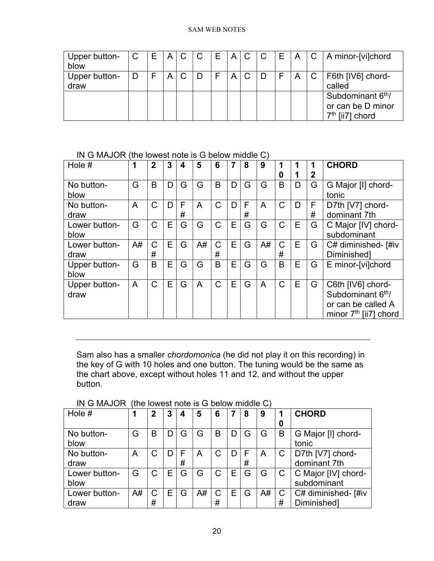| Upper button-<br>blow | $\mathbf C$ | E | A C |   | C | E. |   | A C | l C | E | A | $\overline{\mathsf{C}}$ | A minor-[vi]chord                                                       |
|-----------------------|-------------|---|-----|---|---|----|---|-----|-----|---|---|-------------------------|-------------------------------------------------------------------------|
| Upper button-<br>draw |             |   | A   | C |   |    | A | C   |     |   | A | $\mathbf{C}$            | F6th [IV6] chord-<br>called                                             |
|                       |             |   |     |   |   |    |   |     |     |   |   |                         | Subdominant 6 <sup>th</sup> /<br>or can be D minor<br>$7th$ [ii7] chord |

IN G MAJOR (the lowest note is G below middle C)

| Hole $#$      | 1  | $\overline{2}$ | 3 | 4 | 5              | 6            | 7 | 8 | 9  |              |   |             | <b>CHORD</b>                  |
|---------------|----|----------------|---|---|----------------|--------------|---|---|----|--------------|---|-------------|-------------------------------|
|               |    |                |   |   |                |              |   |   |    | 0            |   | $\mathbf 2$ |                               |
| No button-    | G  | B              | D | G | G              | B            | D | G | G  | B            | D | G           | G Major [I] chord-            |
| blow          |    |                |   |   |                |              |   |   |    |              |   |             | tonic                         |
| No button-    | A  | $\mathsf C$    | D | F | A              | $\mathsf{C}$ | D | F | A  | $\mathsf C$  | D | F           | D7th [V7] chord-              |
| draw          |    |                |   | # |                |              |   | # |    |              |   | #           | dominant 7th                  |
| Lower button- | G  | $\mathsf{C}$   | E | G | G              | $\mathsf{C}$ | E | G | G  | $\mathsf C$  | E | G           | C Major [IV] chord-           |
| blow          |    |                |   |   |                |              |   |   |    |              |   |             | subdominant                   |
| Lower button- | A# | $\mathsf{C}$   | E | G | A#             | $\mathsf{C}$ | E | G | A# | $\mathsf{C}$ | E | G           | C# diminished- [#iv           |
| draw          |    | #              |   |   |                | #            |   |   |    | #            |   |             | Diminished]                   |
| Upper button- | G  | B              | Е | G | G              | B            | E | G | G  | B            | E | G           | E minor-[vi]chord             |
| blow          |    |                |   |   |                |              |   |   |    |              |   |             |                               |
| Upper button- | A  | $\mathsf{C}$   | E | G | $\overline{A}$ | $\mathsf{C}$ | E | G | A  | $\mathsf{C}$ | E | G           | C6th [IV6] chord-             |
| draw          |    |                |   |   |                |              |   |   |    |              |   |             | Subdominant 6 <sup>th</sup> / |
|               |    |                |   |   |                |              |   |   |    |              |   |             | or can be called A            |
|               |    |                |   |   |                |              |   |   |    |              |   |             | minor $7th$ [ii7] chord       |

Sam also has a smaller *chordomonica* (he did not play it on this recording) in the key of G with 10 holes and one button. The tuning would be the same as the chart above, except without holes 11 and 12, and without the upper button.

| Hole #                |    | 2      | 3 | 4 | 5  | 6      |   | 8      | 9  | 0 | <b>CHORD</b>                       |
|-----------------------|----|--------|---|---|----|--------|---|--------|----|---|------------------------------------|
| No button-<br>blow    | G  | B      |   | G | ٦  | B      |   | G      | G  | B | G Major [I] chord-<br>tonic        |
| No button-<br>draw    | A  | С      |   | # | A  | C      |   | F<br># | Α  |   | D7th [V7] chord-<br>dominant 7th   |
| Lower button-<br>blow | G  | С      | Е | G | G  |        | E | G      | G  |   | C Major [IV] chord-<br>subdominant |
| Lower button-<br>draw | A# | C<br># | Е | G | A# | С<br># | Е | G      | A# | # | C# diminished- [#iv<br>Diminished] |

IN G MAJOR (the lowest note is G below middle C)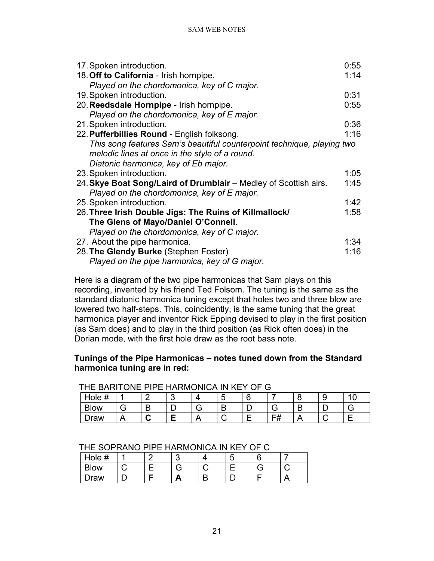| 17. Spoken introduction.                                               | 0:55 |
|------------------------------------------------------------------------|------|
| 18. Off to California - Irish hornpipe.                                | 1:14 |
| Played on the chordomonica, key of C major.                            |      |
| 19. Spoken introduction.                                               | 0:31 |
| 20. Reedsdale Hornpipe - Irish hornpipe.                               | 0:55 |
| Played on the chordomonica, key of E major.                            |      |
| 21. Spoken introduction.                                               | 0:36 |
| 22. Pufferbillies Round - English folksong.                            | 1:16 |
| This song features Sam's beautiful counterpoint technique, playing two |      |
| melodic lines at once in the style of a round.                         |      |
| Diatonic harmonica, key of Eb major.                                   |      |
| 23. Spoken introduction.                                               | 1:05 |
| 24. Skye Boat Song/Laird of Drumblair - Medley of Scottish airs.       | 1:45 |
| Played on the chordomonica, key of E major.                            |      |
| 25. Spoken introduction.                                               | 1:42 |
| 26. Three Irish Double Jigs: The Ruins of Killmallock/                 | 1:58 |
| The Glens of Mayo/Daniel O'Connell.                                    |      |
| Played on the chordomonica, key of C major.                            |      |
| 27. About the pipe harmonica.                                          | 1:34 |
| 28. The Glendy Burke (Stephen Foster)                                  | 1:16 |
| Played on the pipe harmonica, key of G major.                          |      |

Here is a diagram of the two pipe harmonicas that Sam plays on this recording, invented by his friend Ted Folsom. The tuning is the same as the standard diatonic harmonica tuning except that holes two and three blow are lowered two half-steps. This, coincidently, is the same tuning that the great harmonica player and inventor Rick Epping devised to play in the first position (as Sam does) and to play in the third position (as Rick often does) in the Dorian mode, with the first hole draw as the root bass note.

# **Tunings of the Pipe Harmonicas – notes tuned down from the Standard harmonica tuning are in red:**

| THE BARTIONE PIPE HARMONICA IN NET OF G |  |  |  |  |  |  |    |  |  |  |
|-----------------------------------------|--|--|--|--|--|--|----|--|--|--|
| Hole #                                  |  |  |  |  |  |  |    |  |  |  |
| Blow                                    |  |  |  |  |  |  |    |  |  |  |
| <b>"AW</b>                              |  |  |  |  |  |  | FΗ |  |  |  |

THE BARITONE RIDE HARMONICA IN KEY OF C

# THE SOPRANO PIPE HARMONICA IN KEY OF C

| $^{\prime}$<br>Hole # |  | ີ | u |  |
|-----------------------|--|---|---|--|
| <b>Blow</b>           |  |   |   |  |
| <b>Draw</b>           |  | г |   |  |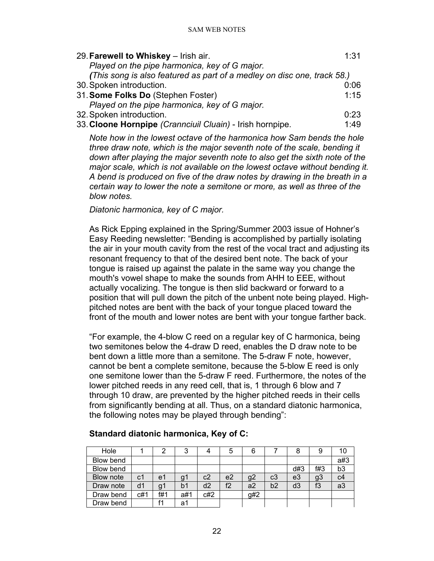| 29. Farewell to Whiskey - Irish air.                                    | 1:31 |
|-------------------------------------------------------------------------|------|
| Played on the pipe harmonica, key of G major.                           |      |
| (This song is also featured as part of a medley on disc one, track 58.) |      |
| 30. Spoken introduction.                                                | 0:06 |
| 31. Some Folks Do (Stephen Foster)                                      | 1:15 |
| Played on the pipe harmonica, key of G major.                           |      |
| 32. Spoken introduction.                                                | 0:23 |
| 33. Cloone Hornpipe (Crannciuil Cluain) - Irish hornpipe.               | 1:49 |
|                                                                         |      |

*Note how in the lowest octave of the harmonica how Sam bends the hole three draw note, which is the major seventh note of the scale, bending it down after playing the major seventh note to also get the sixth note of the major scale, which is not available on the lowest octave without bending it. A bend is produced on five of the draw notes by drawing in the breath in a certain way to lower the note a semitone or more, as well as three of the blow notes.*

*Diatonic harmonica, key of C major.*

As Rick Epping explained in the Spring/Summer 2003 issue of Hohner's Easy Reeding newsletter: "Bending is accomplished by partially isolating the air in your mouth cavity from the rest of the vocal tract and adjusting its resonant frequency to that of the desired bent note. The back of your tongue is raised up against the palate in the same way you change the mouth's vowel shape to make the sounds from AHH to EEE, without actually vocalizing. The tongue is then slid backward or forward to a position that will pull down the pitch of the unbent note being played. Highpitched notes are bent with the back of your tongue placed toward the front of the mouth and lower notes are bent with your tongue farther back.

"For example, the 4-blow C reed on a regular key of C harmonica, being two semitones below the 4-draw D reed, enables the D draw note to be bent down a little more than a semitone. The 5-draw F note, however, cannot be bent a complete semitone, because the 5-blow E reed is only one semitone lower than the 5-draw F reed. Furthermore, the notes of the lower pitched reeds in any reed cell, that is, 1 through 6 blow and 7 through 10 draw, are prevented by the higher pitched reeds in their cells from significantly bending at all. Thus, on a standard diatonic harmonica, the following notes may be played through bending":

| Hole      |     |     | 3   |     | 5              | 6   |    |     |     | 10             |
|-----------|-----|-----|-----|-----|----------------|-----|----|-----|-----|----------------|
| Blow bend |     |     |     |     |                |     |    |     |     | a#3            |
| Blow bend |     |     |     |     |                |     |    | d#3 | f#3 | b <sub>3</sub> |
| Blow note | c1  | e1  | g   | c2  | e <sub>2</sub> | g2  | c3 | e3  | g3  | c4             |
| Draw note | d1  | g   | b1  | d2  | f2             | a2  | b2 | d3  | f3  | a3             |
| Draw bend | c#1 | f#1 | a#1 | C#2 |                | g#2 |    |     |     |                |
| Draw bend |     |     | a1  |     |                |     |    |     |     |                |

# **Standard diatonic harmonica, Key of C:**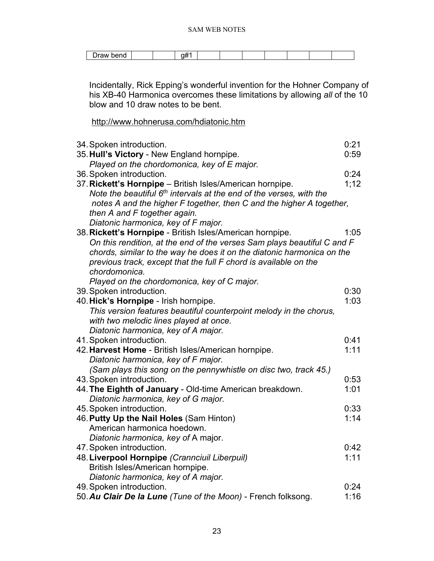| aw |  |  |  |  |  |  |
|----|--|--|--|--|--|--|
|    |  |  |  |  |  |  |

Incidentally, Rick Epping's wonderful invention for the Hohner Company of his XB-40 Harmonica overcomes these limitations by allowing *all* of the 10 blow and 10 draw notes to be bent.

<http://www.hohnerusa.com/hdiatonic.htm>

| 34. Spoken introduction.<br>35. Hull's Victory - New England hornpipe.                | 0:21<br>0:59 |
|---------------------------------------------------------------------------------------|--------------|
| Played on the chordomonica, key of E major.                                           | 0:24         |
| 36. Spoken introduction.<br>37. Rickett's Hornpipe - British Isles/American hornpipe. | 1;12         |
| Note the beautiful 6 <sup>th</sup> intervals at the end of the verses, with the       |              |
| notes A and the higher F together, then C and the higher A together,                  |              |
| then A and F together again.                                                          |              |
| Diatonic harmonica, key of F major.                                                   |              |
| 38. Rickett's Hornpipe - British Isles/American hornpipe.                             | 1:05         |
| On this rendition, at the end of the verses Sam plays beautiful C and F               |              |
| chords, similar to the way he does it on the diatonic harmonica on the                |              |
| previous track, except that the full F chord is available on the                      |              |
| chordomonica.                                                                         |              |
| Played on the chordomonica, key of C major.                                           |              |
| 39. Spoken introduction.                                                              | 0:30         |
| 40. Hick's Hornpipe - Irish hornpipe.                                                 | 1:03         |
| This version features beautiful counterpoint melody in the chorus,                    |              |
| with two melodic lines played at once.                                                |              |
| Diatonic harmonica, key of A major.                                                   |              |
| 41. Spoken introduction.                                                              | 0:41         |
| 42. Harvest Home - British Isles/American hornpipe.                                   | 1:11         |
| Diatonic harmonica, key of F major.                                                   |              |
| (Sam plays this song on the pennywhistle on disc two, track 45.)                      | 0:53         |
| 43. Spoken introduction.<br>44. The Eighth of January - Old-time American breakdown.  | 1:01         |
| Diatonic harmonica, key of G major.                                                   |              |
| 45. Spoken introduction.                                                              | 0:33         |
| 46. Putty Up the Nail Holes (Sam Hinton)                                              | 1:14         |
| American harmonica hoedown.                                                           |              |
| Diatonic harmonica, key of A major.                                                   |              |
| 47. Spoken introduction.                                                              | 0:42         |
| 48. Liverpool Hornpipe (Crannciuil Liberpuil)                                         | 1:11         |
| British Isles/American hornpipe.                                                      |              |
| Diatonic harmonica, key of A major.                                                   |              |
| 49. Spoken introduction.                                                              | 0:24         |
| 50. Au Clair De la Lune (Tune of the Moon) - French folksong.                         | 1:16         |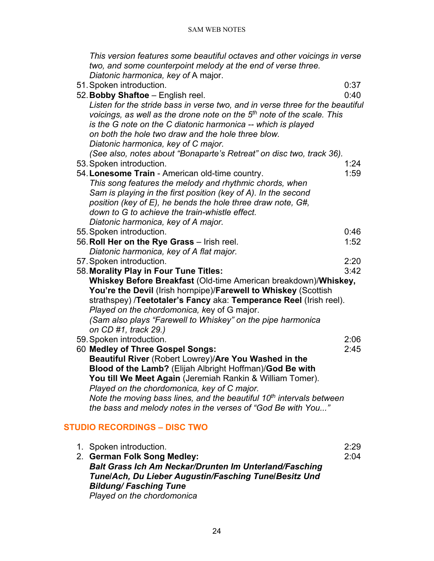*This version features some beautiful octaves and other voicings in verse two, and some counterpoint melody at the end of verse three. Diatonic harmonica, key of* A major.

51.Spoken introduction. 0:37 52.**Bobby Shaftoe** – English reel. 0:40 *Listen for the stride bass in verse two, and in verse three for the beautiful voicings, as well as the drone note on the 5th note of the scale. This is the G note on the C diatonic harmonica -- which is played on both the hole two draw and the hole three blow. Diatonic harmonica, key of C major. (See also, notes about "Bonaparte's Retreat" on disc two, track 36).* 53.Spoken introduction. 1:24 54. Lonesome Train - American old-time country. *This song features the melody and rhythmic chords, when Sam is playing in the first position (key of A). In the second position (key of E), he bends the hole three draw note, G#, down to G to achieve the train-whistle effect. Diatonic harmonica, key of A major.* 55.Spoken introduction. 0:46 56.**Roll Her on the Rye Grass** – Irish reel. 1:52 *Diatonic harmonica, key of A flat major.* 57.Spoken introduction. 2:20 58.**Morality Play in Four Tune Titles:** 3:42 **Whiskey Before Breakfast** (Old-time American breakdown)/**Whiskey, You're the Devil** (Irish hornpipe)/**Farewell to Whiskey** (Scottish strathspey) /**Teetotaler's Fancy** aka: **Temperance Reel** (Irish reel). *Played on the chordomonica, k*ey of G major. *(Sam also plays "Farewell to Whiskey" on the pipe harmonica on CD #1, track 29.)* 59.Spoken introduction. 2:06 60 **Medley of Three Gospel Songs:** 2:45 **Beautiful River** (Robert Lowrey)/**Are You Washed in the Blood of the Lamb?** (Elijah Albright Hoffman)/**God Be with You till We Meet Again** (Jeremiah Rankin & William Tomer). *Played on the chordomonica, key of C major. Note the moving bass lines, and the beautiful 10th intervals between* 

*the bass and melody notes in the verses of "God Be with You..."*

# <span id="page-23-0"></span>**STUDIO RECORDINGS – DISC TWO**

| 1. Spoken introduction.                                       | 2:29 |
|---------------------------------------------------------------|------|
| 2. German Folk Song Medley:                                   | 2:04 |
| <b>Balt Grass Ich Am Neckar/Drunten Im Unterland/Fasching</b> |      |
| Tune/Ach, Du Lieber Augustin/Fasching Tune/Besitz Und         |      |
| <b>Bildung/Fasching Tune</b>                                  |      |
| Played on the chordomonica                                    |      |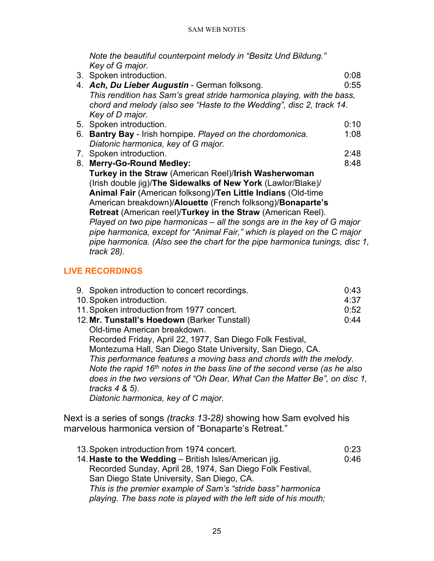*Note the beautiful counterpoint melody in "Besitz Und Bildung." Key of G major.*

| 3. Spoken introduction.                                                                      | 0:08 |
|----------------------------------------------------------------------------------------------|------|
| 4. Ach, Du Lieber Augustin - German folksong.                                                | 0:55 |
| This rendition has Sam's great stride harmonica playing, with the bass,                      |      |
| chord and melody (also see "Haste to the Wedding", disc 2, track 14.                         |      |
| Key of D major.                                                                              |      |
| 5. Spoken introduction.                                                                      | 0:10 |
| 6. Bantry Bay - Irish hornpipe. Played on the chordomonica.                                  | 1:08 |
| Diatonic harmonica, key of G major.                                                          |      |
| 7. Spoken introduction.                                                                      | 2:48 |
| 8. Merry-Go-Round Medley:                                                                    | 8:48 |
| Turkey in the Straw (American Reel)/Irish Washerwoman                                        |      |
| (Irish double jig)/The Sidewalks of New York (Lawlor/Blake)/                                 |      |
| Animal Fair (American folksong)/Ten Little Indians (Old-time                                 |      |
| American breakdown)/Alouette (French folksong)/Bonaparte's                                   |      |
| Retreat (American reel)/Turkey in the Straw (American Reel).                                 |      |
| Played on two pipe harmonicas – all the songs are in the key of G major                      |      |
| pipe harmonica, except for "Animal Fair," which is played on the C major                     |      |
| pipe harmonica. (Also see the chart for the pipe harmonica tunings, disc 1,<br>$track 28$ ). |      |

# <span id="page-24-0"></span>**LIVE RECORDINGS**

| 9. Spoken introduction to concert recordings.                              | 0:43 |
|----------------------------------------------------------------------------|------|
| 10. Spoken introduction.                                                   | 4:37 |
| 11. Spoken introduction from 1977 concert.                                 | 0:52 |
| 12. Mr. Tunstall's Hoedown (Barker Tunstall)                               | 0:44 |
| Old-time American breakdown.                                               |      |
| Recorded Friday, April 22, 1977, San Diego Folk Festival,                  |      |
| Montezuma Hall, San Diego State University, San Diego, CA.                 |      |
| This performance features a moving bass and chords with the melody.        |      |
| Note the rapid 16th notes in the bass line of the second verse (as he also |      |
| does in the two versions of "Oh Dear, What Can the Matter Be", on disc 1,  |      |
| tracks $4 \& 5$ ).                                                         |      |
| Diatonic harmonica, key of C major.                                        |      |
|                                                                            |      |

Next is a series of songs *(tracks 13-28)* showing how Sam evolved his marvelous harmonica version of "Bonaparte's Retreat."

| 13. Spoken introduction from 1974 concert.                        | 0:23 |
|-------------------------------------------------------------------|------|
| 14. Haste to the Wedding - British Isles/American jig.            | 0:46 |
| Recorded Sunday, April 28, 1974, San Diego Folk Festival,         |      |
| San Diego State University, San Diego, CA.                        |      |
| This is the premier example of Sam's "stride bass" harmonica      |      |
| playing. The bass note is played with the left side of his mouth; |      |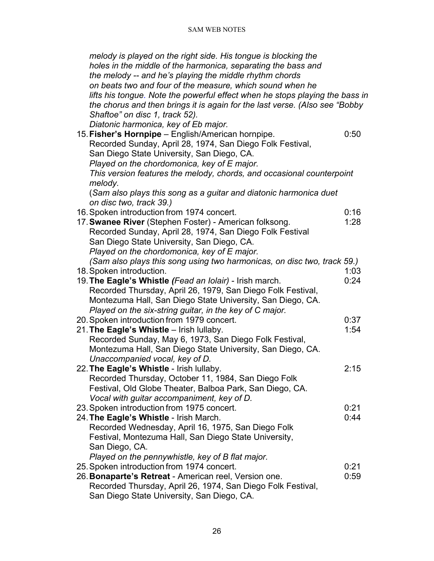| melody is played on the right side. His tongue is blocking the               |      |
|------------------------------------------------------------------------------|------|
| holes in the middle of the harmonica, separating the bass and                |      |
| the melody -- and he's playing the middle rhythm chords                      |      |
| on beats two and four of the measure, which sound when he                    |      |
| lifts his tongue. Note the powerful effect when he stops playing the bass in |      |
| the chorus and then brings it is again for the last verse. (Also see "Bobby  |      |
| Shaftoe" on disc 1, track 52).                                               |      |
| Diatonic harmonica, key of Eb major.                                         |      |
| 15. Fisher's Hornpipe - English/American hornpipe.                           | 0:50 |
| Recorded Sunday, April 28, 1974, San Diego Folk Festival,                    |      |
| San Diego State University, San Diego, CA.                                   |      |
| Played on the chordomonica, key of E major.                                  |      |
| This version features the melody, chords, and occasional counterpoint        |      |
| melody.                                                                      |      |
| (Sam also plays this song as a guitar and diatonic harmonica duet            |      |
| on disc two, track 39.)                                                      |      |
| 16. Spoken introduction from 1974 concert.                                   | 0:16 |
| 17. Swanee River (Stephen Foster) - American folksong.                       | 1:28 |
| Recorded Sunday, April 28, 1974, San Diego Folk Festival                     |      |
| San Diego State University, San Diego, CA.                                   |      |
| Played on the chordomonica, key of E major.                                  |      |
| (Sam also plays this song using two harmonicas, on disc two, track 59.)      |      |
| 18. Spoken introduction.                                                     | 1:03 |
| 19. The Eagle's Whistle (Fead an Iolair) - Irish march.                      | 0:24 |
| Recorded Thursday, April 26, 1979, San Diego Folk Festival,                  |      |
| Montezuma Hall, San Diego State University, San Diego, CA.                   |      |
| Played on the six-string guitar, in the key of C major.                      |      |
| 20. Spoken introduction from 1979 concert.                                   | 0:37 |
| 21. The Eagle's Whistle - Irish Iullaby.                                     | 1:54 |
| Recorded Sunday, May 6, 1973, San Diego Folk Festival,                       |      |
| Montezuma Hall, San Diego State University, San Diego, CA.                   |      |
| Unaccompanied vocal, key of D.                                               |      |
| 22. The Eagle's Whistle - Irish Iullaby.                                     | 2:15 |
| Recorded Thursday, October 11, 1984, San Diego Folk                          |      |
| Festival, Old Globe Theater, Balboa Park, San Diego, CA.                     |      |
| Vocal with guitar accompaniment, key of D.                                   |      |
| 23. Spoken introduction from 1975 concert.                                   | 0:21 |
| 24. The Eagle's Whistle - Irish March.                                       | 0:44 |
| Recorded Wednesday, April 16, 1975, San Diego Folk                           |      |
| Festival, Montezuma Hall, San Diego State University,                        |      |
| San Diego, CA.                                                               |      |
| Played on the pennywhistle, key of B flat major.                             |      |
| 25. Spoken introduction from 1974 concert.                                   | 0:21 |
| 26. <b>Bonaparte's Retreat</b> - American reel, Version one.                 | 0:59 |
| Recorded Thursday, April 26, 1974, San Diego Folk Festival,                  |      |
| San Diego State University, San Diego, CA.                                   |      |
|                                                                              |      |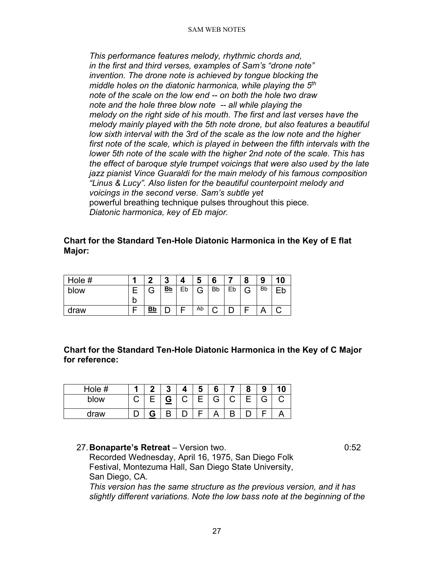*This performance features melody, rhythmic chords and, in the first and third verses, examples of Sam's "drone note" invention. The drone note is achieved by tongue blocking the middle holes on the diatonic harmonica, while playing the 5th note of the scale on the low end -- on both the hole two draw note and the hole three blow note -- all while playing the melody on the right side of his mouth. The first and last verses have the melody mainly played with the 5th note drone, but also features a beautiful low sixth interval with the 3rd of the scale as the low note and the higher first note of the scale, which is played in between the fifth intervals with the lower 5th note of the scale with the higher 2nd note of the scale. This has the effect of baroque style trumpet voicings that were also used by the late jazz pianist Vince Guaraldi for the main melody of his famous composition "Linus & Lucy". Also listen for the beautiful counterpoint melody and voicings in the second verse. Sam's subtle yet*  powerful breathing technique pulses throughout this piece. *Diatonic harmonica, key of Eb major.*

### **Chart for the Standard Ten-Hole Diatonic Harmonica in the Key of E flat Major:**

| Hole # |   | ◠         | ≏<br>v    |    | a      | 6         |    | Ω | Ω<br>J    | 10 |
|--------|---|-----------|-----------|----|--------|-----------|----|---|-----------|----|
| blow   |   |           | <u>Bb</u> | Eb | ⌒<br>ت | <b>Bb</b> | Eb | G | <b>Bb</b> |    |
|        | b |           |           |    |        |           |    |   |           |    |
| draw   |   | <u>Bb</u> |           |    | Ab     |           |    |   |           |    |

**Chart for the Standard Ten-Hole Diatonic Harmonica in the Key of C Major for reference:**

| Hole # |   |   | 4 | հ |   | о<br>э |  |
|--------|---|---|---|---|---|--------|--|
| blow   | ٮ | ⋍ | ⌒ | G | ⌒ | Э      |  |
| draw   |   | D |   |   |   |        |  |

27.**Bonaparte's Retreat** – Version two. 0:52 Recorded Wednesday, April 16, 1975, San Diego Folk Festival, Montezuma Hall, San Diego State University, San Diego, CA.

*This version has the same structure as the previous version, and it has slightly different variations. Note the low bass note at the beginning of the*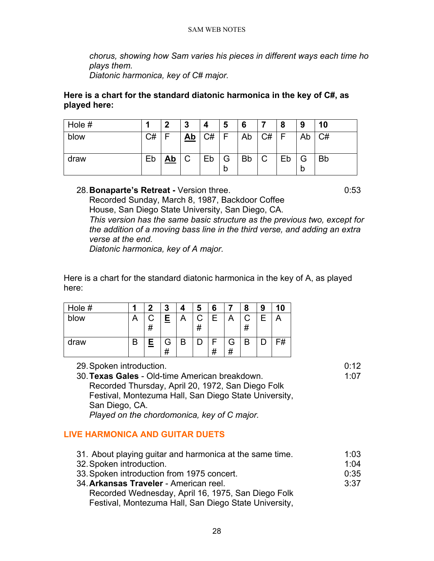*chorus, showing how Sam varies his pieces in different ways each time ho plays them.*

*Diatonic harmonica, key of C# major.*

# **Here is a chart for the standard diatonic harmonica in the key of C#, as played here:**

| Hole # |    | כי        | 3         | 4  | 5      | 6         |    | 8  | 9  | 10        |
|--------|----|-----------|-----------|----|--------|-----------|----|----|----|-----------|
| blow   | C# |           | <u>Ab</u> | C# |        | Ab        | C# | F  | Ab | C#        |
| draw   | Eb | <u>Ab</u> | C         | Eb | G<br>b | <b>Bb</b> | C  | Eb | b  | <b>Bb</b> |

# 28.**Bonaparte's Retreat -** Version three. 0:53

Recorded Sunday, March 8, 1987, Backdoor Coffee House, San Diego State University, San Diego, CA. *This version has the same basic structure as the previous two, except for the addition of a moving bass line in the third verse, and adding an extra verse at the end.*

*Diatonic harmonica, key of A major.* 

Here is a chart for the standard diatonic harmonica in the key of A, as played here:

| Hole # |   | n      | 3 |   | 5 | 6  |   | 8 | 9 |    |
|--------|---|--------|---|---|---|----|---|---|---|----|
| blow   |   | #      | 旦 | ⌒ | # | Е  | ┑ | # | F |    |
| draw   | R | Е<br>= | # | B |   | 77 | G | В |   | =# |

29.Spoken introduction. 0:12

30.**Texas Gales** - Old-time American breakdown. 1:07 Recorded Thursday, April 20, 1972, San Diego Folk Festival, Montezuma Hall, San Diego State University, San Diego, CA. *Played on the chordomonica, key of C major.*

# <span id="page-27-0"></span>**LIVE HARMONICA AND GUITAR DUETS**

31. About playing guitar and harmonica at the same time. 1:03 32. Spoken introduction. **1:04** 33.Spoken introduction from 1975 concert. 0:35 34.**Arkansas Traveler** - American reel. 3:37 Recorded Wednesday, April 16, 1975, San Diego Folk Festival, Montezuma Hall, San Diego State University,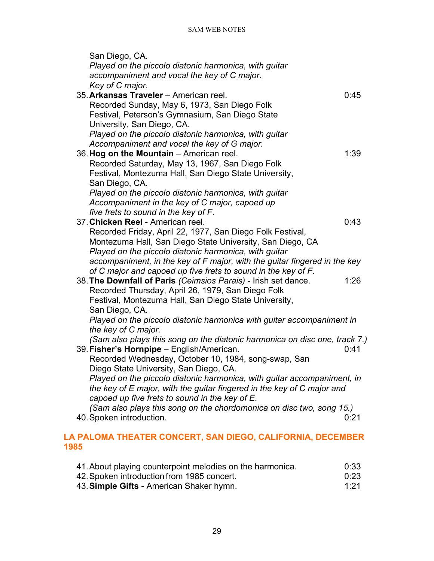| San Diego, CA.                                                             |      |
|----------------------------------------------------------------------------|------|
| Played on the piccolo diatonic harmonica, with guitar                      |      |
| accompaniment and vocal the key of C major.                                |      |
| Key of C major.                                                            |      |
| 35. Arkansas Traveler - American reel.                                     | 0:45 |
| Recorded Sunday, May 6, 1973, San Diego Folk                               |      |
| Festival, Peterson's Gymnasium, San Diego State                            |      |
| University, San Diego, CA.                                                 |      |
| Played on the piccolo diatonic harmonica, with guitar                      |      |
| Accompaniment and vocal the key of G major.                                |      |
| 36. Hog on the Mountain - American reel.                                   | 1:39 |
| Recorded Saturday, May 13, 1967, San Diego Folk                            |      |
| Festival, Montezuma Hall, San Diego State University,                      |      |
| San Diego, CA.                                                             |      |
| Played on the piccolo diatonic harmonica, with guitar                      |      |
| Accompaniment in the key of C major, capoed up                             |      |
| five frets to sound in the key of F.                                       |      |
| 37. Chicken Reel - American reel.                                          | 0:43 |
| Recorded Friday, April 22, 1977, San Diego Folk Festival,                  |      |
| Montezuma Hall, San Diego State University, San Diego, CA                  |      |
| Played on the piccolo diatonic harmonica, with guitar                      |      |
| accompaniment, in the key of F major, with the guitar fingered in the key  |      |
| of C major and capoed up five frets to sound in the key of F.              |      |
| 38. The Downfall of Paris (Ceimsios Parais) - Irish set dance.             | 1:26 |
| Recorded Thursday, April 26, 1979, San Diego Folk                          |      |
| Festival, Montezuma Hall, San Diego State University,                      |      |
| San Diego, CA.                                                             |      |
| Played on the piccolo diatonic harmonica with guitar accompaniment in      |      |
| the key of C major.                                                        |      |
| (Sam also plays this song on the diatonic harmonica on disc one, track 7.) |      |
| 39. Fisher's Hornpipe - English/American.                                  | 0:41 |
| Recorded Wednesday, October 10, 1984, song-swap, San                       |      |
| Diego State University, San Diego, CA.                                     |      |
| Played on the piccolo diatonic harmonica, with guitar accompaniment, in    |      |
| the key of E major, with the guitar fingered in the key of C major and     |      |
| capoed up five frets to sound in the key of E.                             |      |
| (Sam also plays this song on the chordomonica on disc two, song 15.)       |      |
| 40. Spoken introduction.                                                   | 0:21 |
|                                                                            |      |

# <span id="page-28-0"></span>**LA PALOMA THEATER CONCERT, SAN DIEGO, CALIFORNIA, DECEMBER 1985**

| 41. About playing counterpoint melodies on the harmonica. | 0:33 |
|-----------------------------------------------------------|------|
| 42. Spoken introduction from 1985 concert.                | 0:23 |
| 43. Simple Gifts - American Shaker hymn.                  | 1:21 |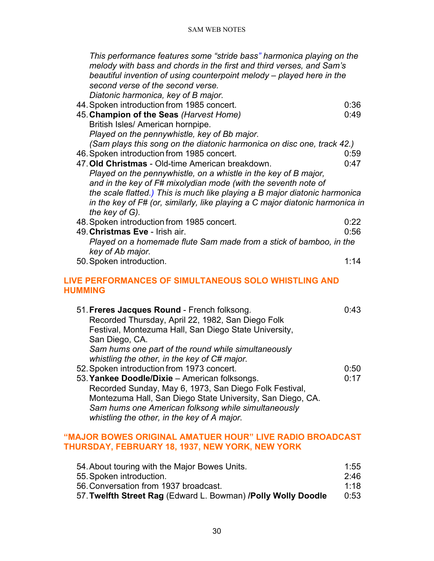| This performance features some "stride bass" harmonica playing on the<br>melody with bass and chords in the first and third verses, and Sam's<br>beautiful invention of using counterpoint melody – played here in the<br>second verse of the second verse.<br>Diatonic harmonica, key of B major. |      |
|----------------------------------------------------------------------------------------------------------------------------------------------------------------------------------------------------------------------------------------------------------------------------------------------------|------|
| 44. Spoken introduction from 1985 concert.                                                                                                                                                                                                                                                         | 0:36 |
| 45. Champion of the Seas (Harvest Home)                                                                                                                                                                                                                                                            | 0:49 |
| British Isles/ American hornpipe.                                                                                                                                                                                                                                                                  |      |
| Played on the pennywhistle, key of Bb major.                                                                                                                                                                                                                                                       |      |
| (Sam plays this song on the diatonic harmonica on disc one, track 42.)                                                                                                                                                                                                                             |      |
| 46. Spoken introduction from 1985 concert.                                                                                                                                                                                                                                                         | 0:59 |
| 47. Old Christmas - Old-time American breakdown.                                                                                                                                                                                                                                                   | 0:47 |
| Played on the pennywhistle, on a whistle in the key of B major,                                                                                                                                                                                                                                    |      |
| and in the key of F# mixolydian mode (with the seventh note of                                                                                                                                                                                                                                     |      |
| the scale flatted.) This is much like playing a B major diatonic harmonica                                                                                                                                                                                                                         |      |
| in the key of F# (or, similarly, like playing a C major diatonic harmonica in                                                                                                                                                                                                                      |      |
| the key of G).                                                                                                                                                                                                                                                                                     |      |
| 48. Spoken introduction from 1985 concert.                                                                                                                                                                                                                                                         | 0:22 |
| 49. Christmas Eve - Irish air.                                                                                                                                                                                                                                                                     | 0:56 |
| Played on a homemade flute Sam made from a stick of bamboo, in the<br>key of Ab major.                                                                                                                                                                                                             |      |
| 50. Spoken introduction.                                                                                                                                                                                                                                                                           | 1:14 |
|                                                                                                                                                                                                                                                                                                    |      |
| <b>LIVE PERFORMANCES OF SIMULTANEOUS SOLO WHISTLING AND</b><br><b>HUMMING</b>                                                                                                                                                                                                                      |      |
| 51. Freres Jacques Round - French folksong.                                                                                                                                                                                                                                                        | 0:43 |
| Recorded Thursday, April 22, 1982, San Diego Folk                                                                                                                                                                                                                                                  |      |
| Festival, Montezuma Hall, San Diego State University,                                                                                                                                                                                                                                              |      |
| San Diego, CA.                                                                                                                                                                                                                                                                                     |      |
| Sam hums one part of the round while simultaneously                                                                                                                                                                                                                                                |      |
| whistling the other, in the key of C# major.                                                                                                                                                                                                                                                       |      |
| 52. Spoken introduction from 1973 concert.                                                                                                                                                                                                                                                         | 0:50 |

<span id="page-29-0"></span>53.**Yankee Doodle/Dixie** – American folksongs. 0:17 Recorded Sunday, May 6, 1973, San Diego Folk Festival, Montezuma Hall, San Diego State University, San Diego, CA. *Sam hums one American folksong while simultaneously whistling the other, in the key of A major.*

# <span id="page-29-1"></span>**"MAJOR BOWES ORIGINAL AMATUER HOUR" LIVE RADIO BROADCAST THURSDAY, FEBRUARY 18, 1937, NEW YORK, NEW YORK**

| 54. About touring with the Major Bowes Units.                  | 1:55 |
|----------------------------------------------------------------|------|
| 55. Spoken introduction.                                       | 2.46 |
| 56. Conversation from 1937 broadcast.                          | 1.18 |
| 57. Twelfth Street Rag (Edward L. Bowman) / Polly Wolly Doodle | 0:53 |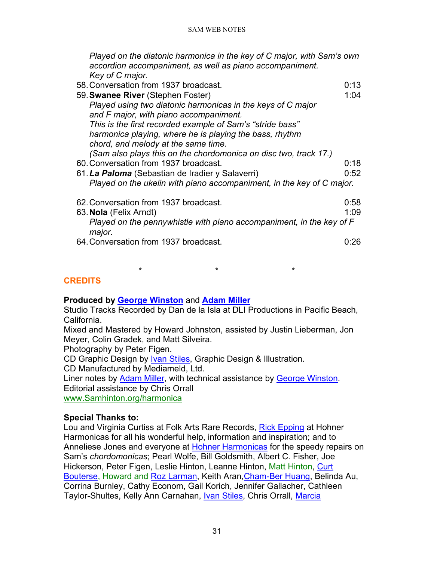*Played on the diatonic harmonica in the key of C major, with Sam's own accordion accompaniment, as well as piano accompaniment. Key of C major.*

- 58.Conversation from 1937 broadcast. 0:13 59.**Swanee River** (Stephen Foster) 1:04 *Played using two diatonic harmonicas in the keys of C major and F major, with piano accompaniment. This is the first recorded example of Sam's "stride bass" harmonica playing, where he is playing the bass, rhythm chord, and melody at the same time. (Sam also plays this on the chordomonica on disc two, track 17.)* 60.Conversation from 1937 broadcast. 0:18 61.*La Paloma* (Sebastian de Iradier y Salaverri) 0:52 *Played on the ukelin with piano accompaniment, in the key of C major.* 62.Conversation from 1937 broadcast. 0:58 63.**Nola** (Felix Arndt) 1:09 *Played on the pennywhistle with piano accompaniment, in the key of F major.*
- 64.Conversation from 1937 broadcast. 0:26

\* \* \*

# <span id="page-30-0"></span>**CREDITS**

# **Produced by [George Winston](http://www.georgewinston.com/)** and **[Adam Miller](http://www.folksinging.org/)**

Studio Tracks Recorded by Dan de la Isla at DLI Productions in Pacific Beach, California.

Mixed and Mastered by Howard Johnston, assisted by Justin Lieberman, Jon Meyer, Colin Gradek, and Matt Silveira.

Photography by Peter Figen.

CD Graphic Design by [Ivan Stiles,](http://www.ivanstiles.com/) Graphic Design & Illustration.

CD Manufactured by Mediameld, Ltd.

Liner notes by [Adam Miller,](http://www.folksinging.org/) with technical assistance by [George Winston.](http://www.georgewinston.com/)

Editorial assistance by Chris Orrall

[www.Samhinton.org/harmonica](http://www.samhinton.org/harmonica)

# **Special Thanks to:**

Lou and Virginia Curtiss at Folk Arts Rare Records, [Rick Epping](http://www.harmonicamasterclass.com/rick_epping.htm) at Hohner Harmonicas for all his wonderful help, information and inspiration; and to Anneliese Jones and everyone at [Hohner Harmonicas](http://www.hohnerusa.com/) for the speedy repairs on Sam's *chordomonicas*; Pearl Wolfe, Bill Goldsmith, Albert C. Fisher, Joe Hickerson, Peter Figen, Leslie Hinton, Leanne Hinton, Matt Hinton, [Curt](http://home.earthlink.net/%7Ecurt_bouterse/)  [Bouterse,](http://home.earthlink.net/%7Ecurt_bouterse/) Howard and [Roz Larman,](http://www.folkscene.com/) Keith Aran[,Cham-Ber Huang,](http://www.bassharp.com/cbh.htm) Belinda Au, Corrina Burnley, Cathy Econom, Gail Korich, Jennifer Gallacher, Cathleen Taylor-Shultes, Kelly Ann Carnahan, [Ivan Stiles,](http://www.ivanstiles.com/) Chris Orrall, [Marcia](http://www.tanglewoodforest.com/)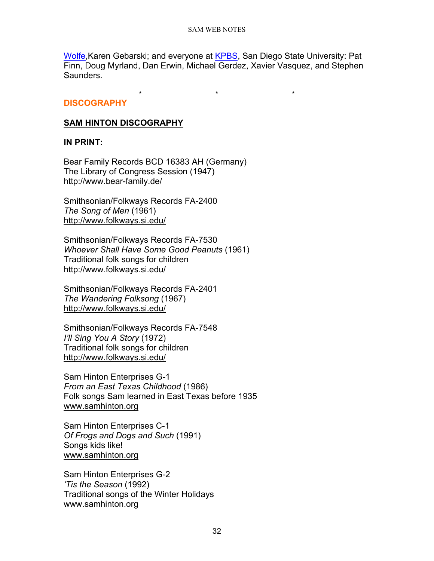[Wolfe,](http://www.tanglewoodforest.com/) Karen Gebarski; and everyone at [KPBS,](http://www.kpbs.org/) San Diego State University: Pat Finn, Doug Myrland, Dan Erwin, Michael Gerdez, Xavier Vasquez, and Stephen Saunders.

\* \* \*

# <span id="page-31-0"></span>**DISCOGRAPHY**

# **SAM HINTON DISCOGRAPHY**

# **IN PRINT:**

Bear Family Records BCD 16383 AH (Germany) The Library of Congress Session (1947) http://www.bear-family.de/

Smithsonian/Folkways Records FA-2400 *The Song of Men* (1961) <http://www.folkways.si.edu/>

Smithsonian/Folkways Records FA-7530 *Whoever Shall Have Some Good Peanuts* (1961) Traditional folk songs for children http://www.folkways.si.edu/

Smithsonian/Folkways Records FA-2401 *The Wandering Folksong* (1967) <http://www.folkways.si.edu/>

Smithsonian/Folkways Records FA-7548 *I'll Sing You A Story* (1972) Traditional folk songs for children <http://www.folkways.si.edu/>

Sam Hinton Enterprises G-1 *From an East Texas Childhood* (1986) Folk songs Sam learned in East Texas before 1935 [www.samhinton.org](http://www.samhinton.org/)

Sam Hinton Enterprises C-1 *Of Frogs and Dogs and Such* (1991) Songs kids like! [www.samhinton.org](http://www.samhinton.org/)

Sam Hinton Enterprises G-2 *'Tis the Season* (1992) Traditional songs of the Winter Holidays [www.samhinton.org](http://www.samhinton.org/)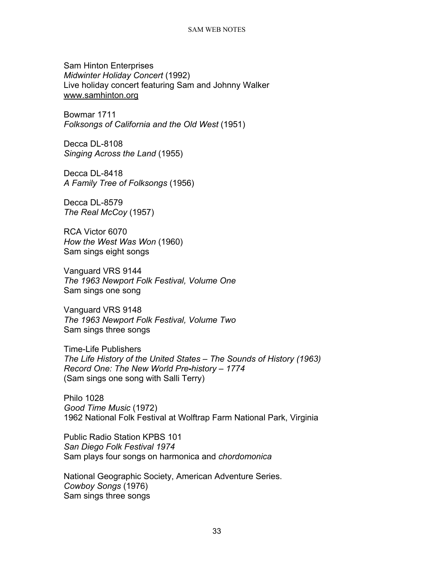Sam Hinton Enterprises *Midwinter Holiday Concert* (1992) Live holiday concert featuring Sam and Johnny Walker [www.samhinton.org](http://www.samhinton.org/)

Bowmar 1711 *Folksongs of California and the Old West* (1951)

Decca DL-8108 *Singing Across the Land* (1955)

Decca DL-8418 *A Family Tree of Folksongs* (1956)

Decca DL-8579 *The Real McCoy* (1957)

RCA Victor 6070 *How the West Was Won* (1960) Sam sings eight songs

Vanguard VRS 9144 *The 1963 Newport Folk Festival, Volume One* Sam sings one song

Vanguard VRS 9148 *The 1963 Newport Folk Festival, Volume Two* Sam sings three songs

Time-Life Publishers *The Life History of the United States – The Sounds of History (1963) Record One: The New World Pre-history – 1774* (Sam sings one song with Salli Terry)

Philo 1028 *Good Time Music* (1972) 1962 National Folk Festival at Wolftrap Farm National Park, Virginia

Public Radio Station KPBS 101 *San Diego Folk Festival 1974* Sam plays four songs on harmonica and *chordomonica*

National Geographic Society, American Adventure Series. *Cowboy Songs* (1976) Sam sings three songs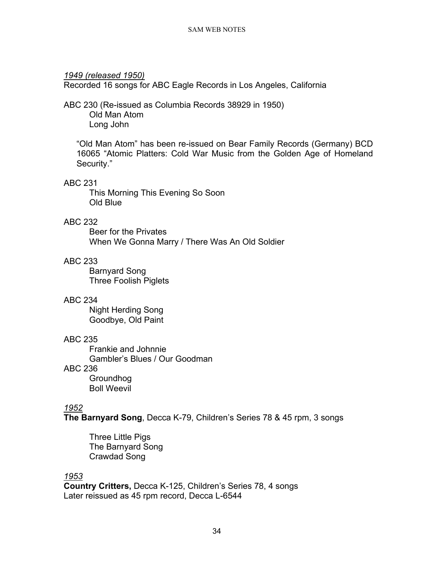# *1949 (released 1950)*

Recorded 16 songs for ABC Eagle Records in Los Angeles, California

# ABC 230 (Re-issued as Columbia Records 38929 in 1950) Old Man Atom Long John

"Old Man Atom" has been re-issued on Bear Family Records (Germany) BCD 16065 "Atomic Platters: Cold War Music from the Golden Age of Homeland Security."

# ABC 231

This Morning This Evening So Soon Old Blue

# ABC 232

Beer for the Privates When We Gonna Marry / There Was An Old Soldier

# ABC 233

Barnyard Song Three Foolish Piglets

# ABC 234

Night Herding Song Goodbye, Old Paint

# ABC 235

Frankie and Johnnie Gambler's Blues / Our Goodman

# ABC 236

Groundhog Boll Weevil

# *1952*

**The Barnyard Song**, Decca K-79, Children's Series 78 & 45 rpm, 3 songs

Three Little Pigs The Barnyard Song Crawdad Song

# *1953*

**Country Critters,** Decca K-125, Children's Series 78, 4 songs Later reissued as 45 rpm record, Decca L-6544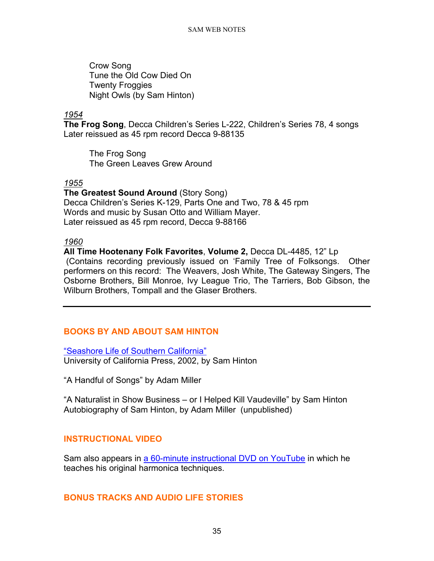Crow Song Tune the Old Cow Died On Twenty Froggies Night Owls (by Sam Hinton)

# *1954*

**The Frog Song**, Decca Children's Series L-222, Children's Series 78, 4 songs Later reissued as 45 rpm record Decca 9-88135

The Frog Song The Green Leaves Grew Around

#### *1955*

**The Greatest Sound Around** (Story Song) Decca Children's Series K-129, Parts One and Two, 78 & 45 rpm Words and music by Susan Otto and William Mayer. Later reissued as 45 rpm record, Decca 9-88166

#### *1960*

**All Time Hootenany Folk Favorites**, **Volume 2,** Decca DL-4485, 12" Lp (Contains recording previously issued on 'Family Tree of Folksongs. Other performers on this record: The Weavers, Josh White, The Gateway Singers, The Osborne Brothers, Bill Monroe, Ivy League Trio, The Tarriers, Bob Gibson, the Wilburn Brothers, Tompall and the Glaser Brothers.

# <span id="page-34-0"></span>**BOOKS BY AND ABOUT SAM HINTON**

["Seashore Life of Southern California"](https://www.ucpress.edu/book/9780520059245/seashore-life-of-southern-california-new-and-revised-edition) University of California Press, 2002, by Sam Hinton

"A Handful of Songs" by Adam Miller

"A Naturalist in Show Business – or I Helped Kill Vaudeville" by Sam Hinton Autobiography of Sam Hinton, by Adam Miller (unpublished)

# <span id="page-34-1"></span>**INSTRUCTIONAL VIDEO**

Sam also appears in [a 60-minute instructional DVD](https://www.youtube.com/watch?v=jcSLudnKFPA&t=122s) on YouTube in which he teaches his original harmonica techniques.

# <span id="page-34-2"></span>**BONUS TRACKS AND AUDIO LIFE STORIES**